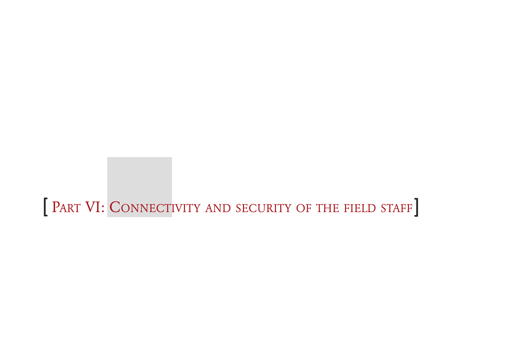[ PART VI: CONNECTIVITY AND SECURITY OF THE FIELD STAFF]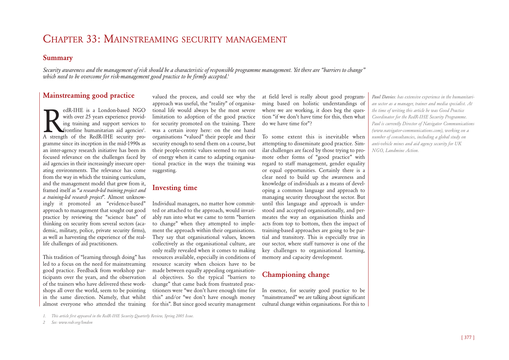## CHAPTER 33: MAINSTREAMING SECURITY MANAGEMENT

### **Summary**

*Security awareness and the management of risk should be a characteristic of responsible programme management. Yet there are "barriers to change" which need to be overcome for risk-management good practice to be firmly accepted.*<sup>1</sup>

## **Mainstreaming good practice**

redR-IHE is a London-based NGO<br>with over 25 years experience provid-<br>ing training and support services to<br>frontline humanitarian aid agencies<sup>2</sup>.<br>A strength of the RedR-IHE security prowith over 25 years experience providing training and support services to frontline humanitarian aid agencies<sup>2</sup>. A strength of the RedR-IHE security programme since its inception in the mid-1990s as an inter-agency research initiative has been its focused relevance on the challenges faced by aid agencies in their increasingly insecure operating environments. The relevance has come from the way in which the training curriculum, and the management model that grew from it, framed itself as "*a research-led training project and a training-led research project*". Almost unknowingly it promoted an "evidence-based" approach to management that sought out good practice by reviewing the "science base" of thinking on security from several sectors (academic, military, police, private security firms), as well as harvesting the experience of the reallife challenges of aid practitioners.

This tradition of "learning through doing" has led to a focus on the need for mainstreaming good practice. Feedback from workshop participants over the years, and the observation of the trainers who have delivered these workshops all over the world, seem to be pointing in the same direction. Namely, that whilst almost everyone who attended the training

valued the process, and could see why the approach was useful, the "reality" of organisational life would always be the most severe limitation to adoption of the good practice for security promoted on the training. There was a certain irony here: on the one hand organisations "valued" their people and their security enough to send them on a course, but their people-centric values seemed to run out of energy when it came to adapting organisational practice in the ways the training was suggesting.

## **Investing time**

Individual managers, no matter how committed or attached to the approach, would invariably run into what we came to term "barriers to change" when they attempted to implement the approach within their organisations. They say that organisational values, known collectively as the organisational culture, are only really revealed when it comes to making resources available, especially in conditions of resource scarcity when choices have to be made between equally appealing organisational objectives. So the typical "barriers to change" that came back from frustrated practitioners were "we don't have enough time for this" and/or "we don't have enough money for this". But since good security management at field level is really about good programming based on holistic understandings of where we are working, it does beg the question "if we don't have time for this, then what do we have time for"?

To some extent this is inevitable when attempting to disseminate good practice. Similar challenges are faced by those trying to promote other forms of "good practice" with regard to staff management, gender equality or equal opportunities. Certainly there is a clear need to build up the awareness and knowledge of individuals as a means of developing a common language and approach to managing security throughout the sector. But until this language and approach is understood and accepted organisationally, and permeates the way an organisation thinks and acts from top to bottom, then the impact of training-based approaches are going to be partial and transitory. This is especially true in our sector, where staff turnover is one of the key challenges to organisational learning, memory and capacity development.

## **Championing change**

In essence, for security good practice to be "mainstreamed" we are talking about significant cultural change within organisations. For this to *Paul Davies: has extensive experience in the humanitarian sector as a manager, trainer and media specialist. At the time of writing this article he was Good Practice Coordinator for the RedR-IHE Security Programme. Paul is currently Director of Navigator Communications (www.navigator-communications.com), working on a number of consultancies, including a global study on anti-vehicle mines and aid agency security for UK NGO, Landmine Action.*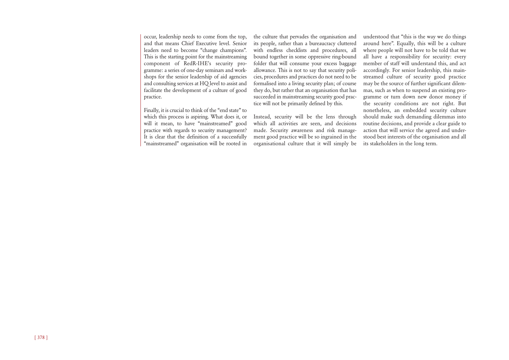occur, leadership needs to come from the top, and that means Chief Executive level. Senior leaders need to become "change champions". This is the starting point for the mainstreaming component of RedR-IHE's security programme: a series of one-day seminars and workshops for the senior leadership of aid agencies and consulting services at HQ level to assist and facilitate the development of a culture of good practice.

Finally, it is crucial to think of the "end state" to which this process is aspiring. What does it, or will it mean, to have "mainstreamed" good practice with regards to security management? It is clear that the definition of a successfully "mainstreamed" organisation will be rooted in the culture that pervades the organisation and its people, rather than a bureaucracy cluttered with endless checklists and procedures, all bound together in some oppressive ring-bound folder that will consume your excess baggage allowance. This is not to say that security policies, procedures and practices do not need to be formalised into a living security plan; of course they do, but rather that an organisation that has succeeded in mainstreaming security good practice will not be primarily defined by this.

Instead, security will be the lens through which all activities are seen, and decisions made. Security awareness and risk management good practice will be so ingrained in the organisational culture that it will simply be

understood that "this is the way we do things around here". Equally, this will be a culture where people will not have to be told that we all have a responsibility for security: every member of staff will understand this, and act accordingly. For senior leadership, this mainstreamed culture of security good practice may be the source of further significant dilemmas, such as when to suspend an existing programme or turn down new donor money if the security conditions are not right. But nonetheless, an embedded security culture should make such demanding dilemmas into routine decisions, and provide a clear guide to action that will service the agreed and understood best interests of the organisation and all its stakeholders in the long term.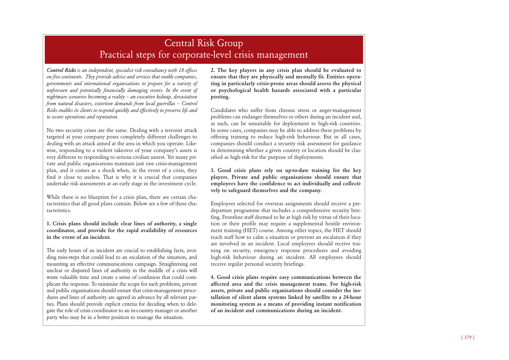## Central Risk Group Practical steps for corporate-level crisis management

*Control Risks is an independent, specialist risk consultancy with 18 offices on five continents. They provide advice and services that enable companies, governments and international organisations to prepare for a variety of unforeseen and potentially financially damaging events. In the event of nightmare scenarios becoming a reality – an executive kidnap, devastation from natural disasters, extortion demands from local guerrillas – Control Risks enables its clients to respond quickly and effectively to preserve life and to secure operations and reputation.*

No two security crises are the same. Dealing with a terrorist attack targeted at your company poses completely different challenges to dealing with an attack aimed at the area in which you operate. Likewise, responding to a violent takeover of your company's assets is very different to responding to serious civilian unrest. Yet many private and public organisations maintain just one crisis-management plan, and it comes as a shock when, in the event of a crisis, they find it close to useless. That is why it is crucial that companies undertake risk assessments at an early stage in the investment cycle.

While there is no blueprint for a crisis plan, there are certain characteristics that all good plans contain. Below are a few of these characteristics.

**1. Crisis plans should include clear lines of authority, a single coordinator, and provide for the rapid availability of resources in the event of an incident.**

The early hours of an incident are crucial to establishing facts, avoiding miss-steps that could lead to an escalation of the situation, and mounting an effective communications campaign. Straightening out unclear or disputed lines of authority in the middle of a crisis will waste valuable time and create a sense of confusion that could complicate the response. To minimise the scope for such problems, private and public organisations should ensure that crisis-management procedures and lines of authority are agreed in advance by all relevant parties. Plans should provide explicit criteria for deciding when to delegate the role of crisis coordinator to an in-country manager or another party who may be in a better position to manage the situation.

**2. The key players in any crisis plan should be evaluated to ensure that they are physically and mentally fit. Entities operating in particularly crisis-prone areas should assess the physical or psychological health hazards associated with a particular posting.**

Candidates who suffer from chronic stress or anger-management problems can endanger themselves or others during an incident and, as such, can be unsuitable for deployment to high-risk countries. In some cases, companies may be able to address these problems by offering training to reduce high-risk behaviour. But in all cases, companies should conduct a security risk assessment for guidance in determining whether a given country or location should be classified as high-risk for the purpose of deployments.

**3. Good crisis plans rely on up-to-date training for the key players. Private and public organisations should ensure that employees have the confidence to act individually and collectively to safeguard themselves and the company.** 

Employees selected for overseas assignments should receive a predeparture programme that includes a comprehensive security briefing. Frontline staff deemed to be at high risk by virtue of their location or their profile may require a supplemental hostile environment training (HET) course. Among other topics, the HET should teach staff how to calm a situation or prevent an escalation if they are involved in an incident. Local employees should receive training on security, emergency response procedures and avoiding high-risk behaviour during an incident. All employees should receive regular personal security briefings.

**4. Good crisis plans require easy communications between the affected area and the crisis management teams. For high-risk assets, private and public organisations should consider the installation of silent alarm systems linked by satellite to a 24-hour monitoring system as a means of providing instant notification of an incident and communications during an incident.**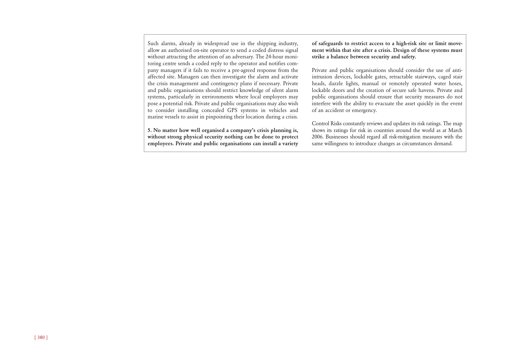Such alarms, already in widespread use in the shipping industry, allow an authorised on-site operator to send a coded distress signal without attracting the attention of an adversary. The 24-hour monitoring centre sends a coded reply to the operator and notifies company managers if it fails to receive a pre-agreed response from the affected site. Managers can then investigate the alarm and activate the crisis management and contingency plans if necessary. Private and public organisations should restrict knowledge of silent alarm systems, particularly in environments where local employees may pose a potential risk. Private and public organisations may also wish to consider installing concealed GPS systems in vehicles and marine vessels to assist in pinpointing their location during a crisis.

**5. No matter how well organised a company's crisis planning is, without strong physical security nothing can be done to protect employees. Private and public organisations can install a variety** **of safeguards to restrict access to a high-risk site or limit movement within that site after a crisis. Design of these systems must strike a balance between security and safety.**

Private and public organisations should consider the use of antiintrusion devices, lockable gates, retractable stairways, caged stair heads, dazzle lights, manual or remotely operated water hoses, lockable doors and the creation of secure safe havens. Private and public organisations should ensure that security measures do not interfere with the ability to evacuate the asset quickly in the event of an accident or emergency.

Control Risks constantly reviews and updates its risk ratings. The map shows its ratings for risk in countries around the world as at March 2006. Businesses should regard all risk-mitigation measures with the same willingness to introduce changes as circumstances demand.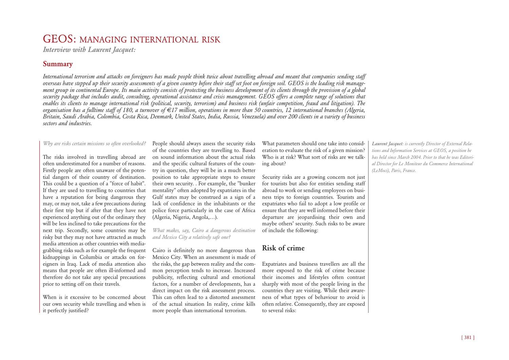## GEOS: MANAGING INTERNATIONAL RISK

*Interview with Laurent Jacquet:*

## **Summary**

*International terrorism and attacks on foreigners has made people think twice about travelling abroad and meant that companies sending staff overseas have stepped up their security assessments of a given country before their staff set foot on foreign soil. GEOS is the leading risk management group in continental Europe. Its main activity consists of protecting the business development of its clients through the provision of a global security package that includes audit, consulting, operational assistance and crisis management. GEOS offers a complete range of solutions that enables its clients to manage international risk (political, security, terrorism) and business risk (unfair competition, fraud and litigation). The organisation has a fulltime staff of 180, a turnover of €17 million, operations in more than 50 countries, 12 international branches (Algeria, Britain, Saudi Arabia, Colombia, Costa Rica, Denmark, United States, India, Russia, Venezuela) and over 200 clients in a variety of business sectors and industries.*

#### *Why are risks certain missions so often overlooked?*

The risks involved in travelling abroad are often underestimated for a number of reasons. Firstly people are often unaware of the potential dangers of their country of destination. This could be a question of a "force of habit". If they are used to travelling to countries that have a reputation for being dangerous they may, or may not, take a few precautions during their first trip but if after that they have not experienced anything out of the ordinary they will be less inclined to take precautions for the next trip. Secondly, some countries may be risky but they may not have attracted as much media attention as other countries with mediagrabbing risks such as for example the frequent kidnappings in Columbia or attacks on foreigners in Iraq. Lack of media attention also means that people are often ill-informed and therefore do not take any special precautions prior to setting off on their travels.

When is it excessive to be concerned about our own security while travelling and when is it perfectly justified?

People should always assess the security risks of the countries they are travelling to. Based on sound information about the actual risks and the specific cultural features of the country in question, they will be in a much better position to take appropriate steps to ensure their own security. . For example, the "bunker mentality" often adopted by expatriates in the Gulf states may be construed as a sign of a lack of confidence in the inhabitants or the police force particularly in the case of Africa (Algeria, Nigeria, Angola,…).

*What makes, say, Cairo a dangerous destination and Mexico City a relatively safe one?*

Cairo is definitely no more dangerous than Mexico City. When an assessment is made of the risks, the gap between reality and the common perception tends to increase. Increased publicity, reflecting cultural and emotional factors, for a number of developments, has a direct impact on the risk assessment process. This can often lead to a distorted assessment of the actual situation In reality, crime kills more people than international terrorism.

What parameters should one take into consideration to evaluate the risk of a given mission? Who is at risk? What sort of risks are we talking about?

Security risks are a growing concern not just for tourists but also for entities sending staff abroad to work or sending employees on business trips to foreign countries. Tourists and expatriates who fail to adopt a low profile or ensure that they are well informed before their departure are jeopardising their own and maybe others' security. Such risks to be aware of include the following:

## **Risk of crime**

Expatriates and business travellers are all the more exposed to the risk of crime because their incomes and lifestyles often contrast sharply with most of the people living in the countries they are visiting. While their awareness of what types of behaviour to avoid is often relative. Consequently, they are exposed to several risks:

*Laurent Jacquet: is currently Director of External Relations and Information Services at GEOS, a position he has held since March 2004. Prior to that he was Editorial Director for Le Moniteur du Commerce International (LeMoci), Paris, France.*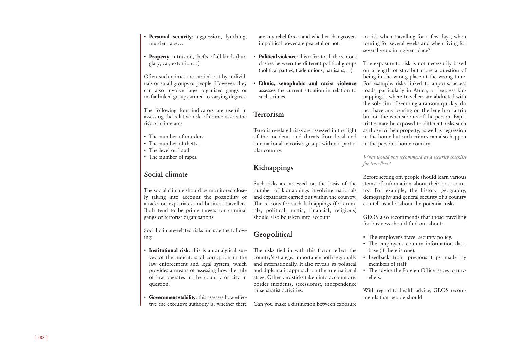- **Personal security:** aggression, lynching, murder, rape…
- **Property**: intrusion, thefts of all kinds (burglary, car, extortion…)

Often such crimes are carried out by individuals or small groups of people. However, they can also involve large organised gangs or mafia-linked groups armed to varying degrees.

The following four indicators are useful in assessing the relative risk of crime: assess the risk of crime are:

- The number of murders.
- The number of thefts.
- The level of fraud.
- The number of rapes.

## **Social climate**

The social climate should be monitored closely taking into account the possibility of attacks on expatriates and business travellers. Both tend to be prime targets for criminal gangs or terrorist organisations.

Social climate-related risks include the following:

- **Institutional risk**: this is an analytical survey of the indicators of corruption in the law enforcement and legal system, which provides a means of assessing how the rule of law operates in the country or city in question.
- **Government stability**: this assesses how effective the executive authority is, whether there

are any rebel forces and whether changeovers in political power are peaceful or not.

- **Political violence**: this refers to all the various clashes between the different political groups (political parties, trade unions, partisans,…).
- **Ethnic, xenophobic and racist violence** assesses the current situation in relation to such crimes.

### **Terrorism**

Terrorism-related risks are assessed in the light of the incidents and threats from local and international terrorists groups within a particular country.

## **Kidnappings**

Such risks are assessed on the basis of the number of kidnappings involving nationals and expatriates carried out within the country. The reasons for such kidnappings (for example, political, mafia, financial, religious) should also be taken into account.

## **Geopolitical**

The risks tied in with this factor reflect the country's strategic importance both regionally and internationally. It also reveals its political and diplomatic approach on the international stage. Other yardsticks taken into account are: border incidents, secessionist, independence or separatist activities.

Can you make a distinction between exposure

to risk when travelling for a few days, when touring for several weeks and when living for several years in a given place?

The exposure to risk is not necessarily based on a length of stay but more a question of being in the wrong place at the wrong time. For example, risks linked to airports, access roads, particularly in Africa, or "express kidnappings", where travellers are abducted with the sole aim of securing a ransom quickly, do not have any bearing on the length of a trip but on the whereabouts of the person. Expatriates may be exposed to different risks such as those to their property, as well as aggression in the home but such crimes can also happen in the person's home country.

*What would you recommend as a security checklist for travellers?*

Before setting off, people should learn various items of information about their host country. For example, the history, geography, demography and general security of a country can tell us a lot about the potential risks.

GEOS also recommends that those travelling for business should find out about:

- The employer's travel security policy.
- The employer's country information database (if there is one).
- Feedback from previous trips made by members of staff.
- The advice the Foreign Office issues to travellers.

With regard to health advice, GEOS recommends that people should: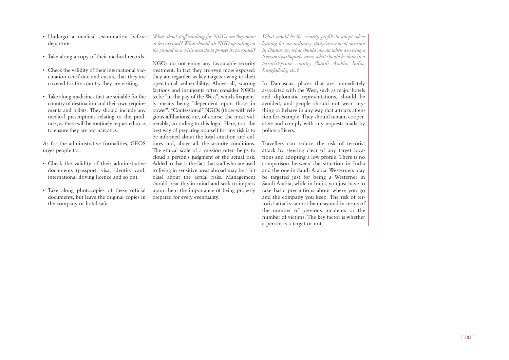- Undergo a medical examination before departure.
- Take along a copy of their medical records.
- Check the validity of their international vaccination certificate and ensure that they are covered for the country they are visiting.
- Take along medicines that are suitable for the country of destination and their own requirements and habits. They should include any medical prescriptions relating to the products, as these will be routinely requested so as to ensure they are not narcotics.

As for the administrative formalities, GEOS urges people to:

- Check the validity of their administrative documents (passport, visa, identity card, international driving licence and so on).
- Take along photocopies of these official documents, but leave the original copies in the company or hotel safe.

*What about staff working for NGOs are they more or less exposed? What should an NGO operating on the ground in a crisis area do to protect its personnel?*

NGOs do not enjoy any favourable security treatment. In fact they are even more exposed: they are regarded as key targets owing to their operational vulnerability. Above all, warring factions and insurgents often consider NGOs to be "in the pay of the West", which frequently means being "dependent upon those in power". "Confessional" NGOs (those with religious affiliations) are, of course, the most vulnerable, according to this logic. Here, too, the best way of preparing yourself for any risk is to be informed about the local situation and cultures and, above all, the security conditions. The ethical scale of a mission often helps to cloud a person's judgment of the actual risk. Added to that is the fact that staff who are used to living in sensitive areas abroad may be a bit blasé about the actual risks. Management should bear this in mind and seek to impress upon them the importance of being properly prepared for every eventuality.

*What would be the security profile to adopt when leaving for an ordinary study/assessment mission in Damascus, what should one do when assessing a tsunami/earthquake area, what should be done in a terrorist-prone country (Saudi Arabia, India, Bangladesh), etc.?*

In Damascus, places that are immediately associated with the West, such as major hotels and diplomatic representations, should be avoided, and people should not wear anything or behave in any way that attracts attention for example. They should remain cooperative and comply with any requests made by police officers.

Travellers can reduce the risk of terrorist attack by steering clear of any target locations and adopting a low profile. There is no comparison between the situation in India and the one in Saudi Arabia. Westerners may be targeted just for being a Westerner in Saudi Arabia, while in India, you just have to take basic precautions about where you go and the company you keep. The risk of terrorist attacks cannot be measured in terms of the number of previous incidents or the number of victims. The key factor is whether a person is a target or not.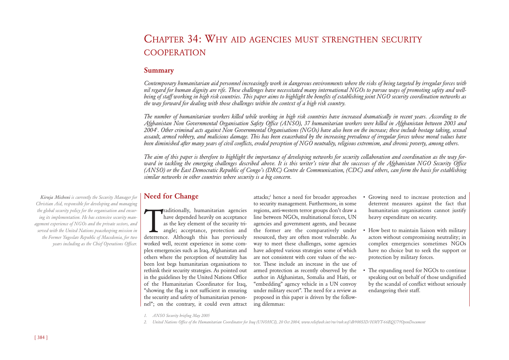## CHAPTER 34: WHY AID AGENCIES MUST STRENGTHEN SECURITY COOPERATION

#### **Summary**

*Contemporary humanitarian aid personnel increasingly work in dangerous environments where the risks of being targeted by irregular forces with nil regard for human dignity are rife. These challenges have necessitated many international NGOs to pursue ways of promoting safety and wellbeing of staff working in high risk countries. This paper aims to highlight the benefits of establishing joint NGO security coordination networks as the way forward for dealing with those challenges within the context of a high risk country.* 

*The number of humanitarian workers killed while working in high risk countries have increased dramatically in recent years. According to the Afghanistan Non Governmental Organisation Safety Office (ANSO), 37 humanitarian workers were killed in Afghanistan between 2003 and 2004*<sup>1</sup> *. Other criminal acts against Non Governmental Organisations (NGOs) have also been on the increase; these include hostage taking, sexual assault, armed robbery, and malicious damage. This has been exacerbated by the increasing prevalence of irregular forces whose moral values have been diminished after many years of civil conflicts, eroded perception of NGO neutrality, religious extremism, and chronic poverty, among others.* 

*The aim of this paper is therefore to highlight the importance of developing networks for security collaboration and coordination as the way forward in tackling the emerging challenges described above. It is this writer's view that the successes of the Afghanistan NGO Security Office (ANSO) or the East Democratic Republic of Congo's (DRC) Centre de Communication, (CDC) and others, can form the basis for establishing similar networks in other countries where security is a big concern.* 

## **Need for Change**

raditionally, humanitarian agencies<br>have depended heavily on acceptance<br>as the key element of the security tri-<br>angle; acceptance, protection and<br>deterrence. Although this has previously raditionally, humanitarian agencies have depended heavily on acceptance as the key element of the security triangle; acceptance, protection and worked well, recent experience in some complex emergencies such as Iraq, Afghanistan and others where the perception of neutrality has been lost begs humanitarian organisations to rethink their security strategies. As pointed out in the guidelines by the United Nations Office of the Humanitarian Coordinator for Iraq, "showing the flag is not sufficient in ensuring the security and safety of humanitarian personnel"; on the contrary, it could even attract attacks;<sup>2</sup> hence a need for broader approaches to security management. Furthermore, in some regions, anti-western terror groups don't draw a line between NGOs, multinational forces, UN agencies and government agents, and because the former are the comparatively under resourced, they are often most vulnerable. As way to meet these challenges, some agencies have adopted various strategies some of which are not consistent with core values of the sector. These include an increase in the use of armed protection as recently observed by the author in Afghanistan, Somalia and Haiti, or "embedding" agency vehicle in a UN convoy under military escort". The need for a review as proposed in this paper is driven by the following dilemmas:

- Growing need to increase protection and deterrent measures against the fact that humanitarian organisations cannot justify heavy expenditure on security.
- How best to maintain liaison with military actors without compromising neutrality; in complex emergencies sometimes NGOs have no choice but to seek the support or protection by military forces.
- The expanding need for NGOs to continue speaking out on behalf of those undignified by the scandal of conflict without seriously endangering their staff.

*Kiruja Micheni is currently the Security Manager for Christian Aid, responsible for developing and managing the global security policy for the organisation and ensuring its implementation. He has extensive security management experience of NGOs and the private sectors, and served with the United Nations peacekeeping mission in the Former Yugoslav Republic of Macedonia, for two years including as the Chief Operations Officer.* 

*<sup>1.</sup> ANSO Security briefing May 2005*

*<sup>2.</sup> United Nations Office of the Humanitarian Coordinator for Iraq (UNOHCI), 20 Oct 2004, www.reliefweb.int/rw/rwb.nsf/db900SID/HMYT-66BQU7?OpenDocument*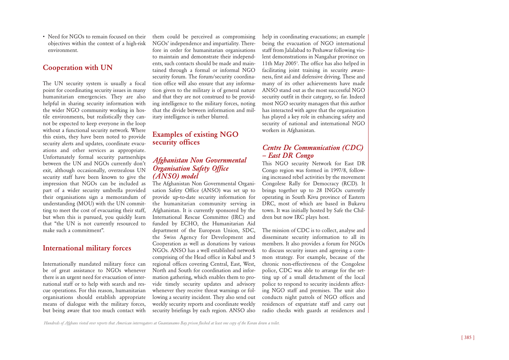• Need for NGOs to remain focused on their objectives within the context of a high-risk environment.

## **Cooperation with UN**

The UN security system is usually a focal point for coordinating security issues in many humanitarian emergencies. They are also helpful in sharing security information with the wider NGO community working in hostile environments, but realistically they cannot be expected to keep everyone in the loop without a functional security network. Where this exists, they have been noted to provide security alerts and updates, coordinate evacuations and other services as appropriate. Unfortunately formal security partnerships between the UN and NGOs currently don't exit, although occasionally, overzealous UN security staff have been known to give the impression that NGOs can be included as part of a wider security umbrella provided their organisations sign a memorandum of understanding (MOU) with the UN committing to meet the cost of evacuating their staff, but when this is pursued, you quickly learn that "the UN is not currently resourced to make such a commitment".

#### **International military forces**

Internationally mandated military force can be of great assistance to NGOs whenever there is an urgent need for evacuation of international staff or to help with search and rescue operations. For this reason, humanitarian organisations should establish appropriate means of dialogue with the military forces, but being aware that too much contact with

them could be perceived as compromising NGOs' independence and impartiality. Therefore in order for humanitarian organisations to maintain and demonstrate their independents, such contacts should be made and maintained through a formal or informal NGO security forum. The forum/security coordination office will also ensure that any information given to the military is of general nature and that they are not construed to be providing intelligence to the military forces, noting that the divide between information and military intelligence is rather blurred.

#### **Examples of existing NGO security offices**

### *Afghanistan Non Governmental Organisation Safety Office (ANSO) model*

The Afghanistan Non Governmental Organisation Safety Office (ANSO) was set up to provide up-to-date security information for the humanitarian community serving in Afghanistan. It is currently sponsored by the International Rescue Committee (IRC) and funded by ECHO, the Humanitarian Aid department of the European Union, SDC, the Swiss Agency for Development and Cooperation as well as donations by various NGOs. ANSO has a well established network comprising of the Head office in Kabul and 5 regional offices covering Central, East, West, North and South for coordination and information gathering, which enables them to provide timely security updates and advisory whenever they receive threat warnings or following a security incident. They also send out weekly security reports and coordinate weekly security briefings by each region. ANSO also

help in coordinating evacuations; an example being the evacuation of NGO international staff from Jalalabad to Peshawar following violent demonstrations in Nangahar province on 11th May 2005 3 . The office has also helped in facilitating joint training in security awareness, first aid and defensive driving. These and many of its other achievements have made ANSO stand out as the most successful NGO security outfit in their category, so far. Indeed most NGO security managers that this author has interacted with agree that the organisation has played a key role in enhancing safety and security of national and international NGO workers in Afghanistan.

## *Centre De Communication (CDC) – East DR Congo*

This NGO security Network for East DR Congo region was formed in 1997/8, following increased rebel activities by the movement Congolese Rally for Democracy (RCD). It brings together up to 28 INGOs currently operating in South Kivu province of Eastern DRC, most of which are based in Bukavu town. It was initially hosted by Safe the Children but now IRC plays host.

The mission of CDC is to collect, analyse and disseminate security information to all its members. It also provides a forum for NGOs to discuss security issues and agreeing a common strategy. For example, because of the chronic non-effectiveness of the Congolese police, CDC was able to arrange for the setting up of a small detachment of the local police to respond to security incidents affecting NGO staff and premises. The unit also conducts night patrols of NGO offices and residences of expatriate staff and carry out radio checks with guards at residences and

*Hundreds of Afghans rioted over reports that American interrogators at Guantanamo Bay prison flushed at least one copy of the Koran down a toilet.*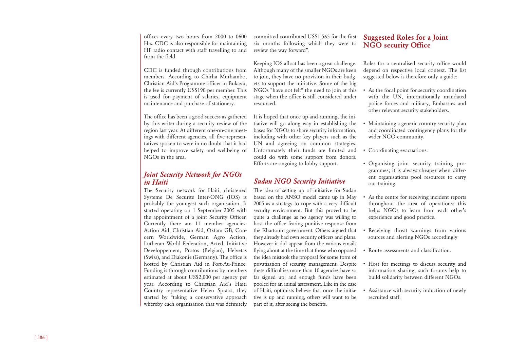offices every two hours from 2000 to 0600 Hrs. CDC is also responsible for maintaining HF radio contact with staff travelling to and from the field.

CDC is funded through contributions from members. According to Chirha Murhambo, Christian Aid's Programme officer in Bukavu, the fee is currently US\$190 per member. This is used for payment of salaries, equipment maintenance and purchase of stationery.

The office has been a good success as gathered by this writer during a security review of the region last year. At different one-on-one meetings with different agencies, all five representatives spoken to were in no doubt that it had helped to improve safety and wellbeing of NGOs in the area.

## *Joint Security Network for NGOs in Haiti*

The Security network for Haiti, christened Systeme De Securite Inter-ONG (IOS) is probably the youngest such organisation. It started operating on 1 September 2005 with the appointment of a joint Security Officer. Currently there are 11 member agencies: Action Aid, Christian Aid, Oxfam GB, Concern Worldwide, German Agro Action, Lutheran World Federation, Acted, Initiative Developpement, Protos (Belgian), Helvetas (Swiss), and Diakonie (Germany). The office is hosted by Christian Aid in Port-Au-Prince. Funding is through contributions by members estimated at about US\$2,000 per agency per year. According to Christian Aid's Haiti Country representative Helen Spraos, they started by "taking a conservative approach whereby each organisation that was definitely committed contributed US\$1,565 for the first six months following which they were to review the way forward".

Keeping IOS afloat has been a great challenge. Although many of the smaller NGOs are keen to join, they have no provision in their budgets to support the initiative. Some of the big NGOs "have not felt" the need to join at this stage when the office is still considered under resourced.

It is hoped that once up-and-running, the initiative will go along way in establishing the bases for NGOs to share security information, including with other key players such as the UN and agreeing on common strategies. Unfortunately their funds are limited and could do with some support from donors. Efforts are ongoing to lobby support.

## *Sudan NGO Security Initiative*

The idea of setting up of initiative for Sudan based on the ANSO model came up in May 2005 as a strategy to cope with a very difficult security environment. But this proved to be quite a challenge as no agency was willing to host the office fearing punitive response from the Khartoum government. Others argued that they already had own security officers and plans. However it did appear from the various emails flying about at the time that those who opposed the idea mistook the proposal for some form of privatisation of security management. Despite these difficulties more than 10 agencies have so far signed up; and enough funds have been pooled for an initial assessment. Like in the case of Haiti, optimists believe that once the initiative is up and running, others will want to be part of it, after seeing the benefits.

## **Suggested Roles for a Joint NGO security Office**

Roles for a centralised security office would depend on respective local context. The list suggested below is therefore only a guide:

- As the focal point for security coordination with the UN, internationally mandated police forces and military, Embassies and other relevant security stakeholders.
- Maintaining a generic country security plan and coordinated contingency plans for the wider NGO community.
- Coordinating evacuations.
- Organising joint security training programmes; it is always cheaper when different organisations pool resources to carry out training.
- As the centre for receiving incident reports throughout the area of operations; this helps NGOs to learn from each other's experience and good practice.
- Receiving threat warnings from various sources and alerting NGOs accordingly
- Route assessments and classification.
- Host for meetings to discuss security and information sharing; such forums help to build solidarity between different NGOs.
- Assistance with security induction of newly recruited staff.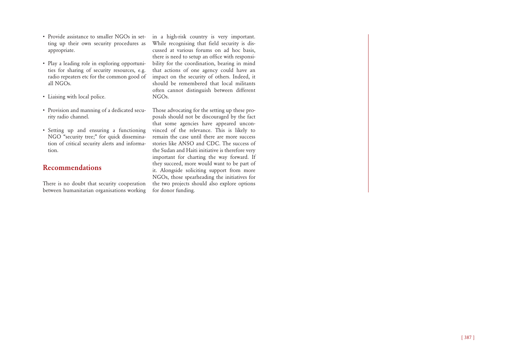- Provide assistance to smaller NGOs in setting up their own security procedures as appropriate.
- Play a leading role in exploring opportunities for sharing of security resources, e.g. radio repeaters etc for the common good of all NGOs.
- Liaising with local police.
- Provision and manning of a dedicated security radio channel.
- Setting up and ensuring a functioning NGO "security tree;" for quick dissemination of critical security alerts and information.

## **Recommendations**

There is no doubt that security cooperation between humanitarian organisations working in a high-risk country is very important. While recognising that field security is discussed at various forums on ad hoc basis, there is need to setup an office with responsibility for the coordination, bearing in mind that actions of one agency could have an impact on the security of others. Indeed, it should be remembered that local militants often cannot distinguish between different NGOs.

Those advocating for the setting up these proposals should not be discouraged by the fact that some agencies have appeared unconvinced of the relevance. This is likely to remain the case until there are more success stories like ANSO and CDC. The success of the Sudan and Haiti initiative is therefore very important for charting the way forward. If they succeed, more would want to be part of it. Alongside soliciting support from more NGOs, those spearheading the initiatives for the two projects should also explore options for donor funding.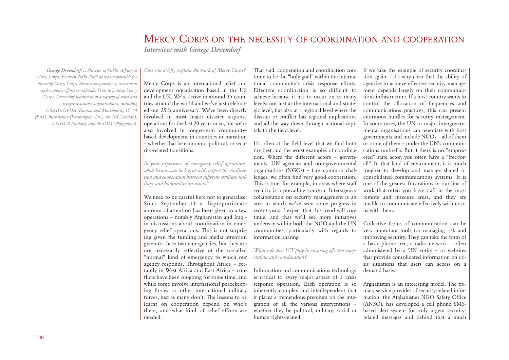## MERCY CORPS ON THE NECESSITY OF COORDINATION AND COOPERATION *Interview with George Devendorf*

*George Devendorf: is Director of Public Affairs at Mercy Corps. Between 2000-2003 he was responsible for directing Mercy Corps' disaster preparedness, assessment and response efforts worldwide. Prior to joining Mercy Corps, Devendorf worked with a variety of relief and refugee assistance organisations, including USAID/OFDA (Kosovo and Macedonia), ICVA (BiH), InterAction (Washington, DC), the IRC (Sudan), UNHCR (Sudan), and the IOM (Philippines).* 

#### *Can you briefly explain the work of Mercy Corps?*

Mercy Corps is an international relief and development organisation based in the US and the UK. We're active in around 35 countries around the world and we've just celebrated our 25th anniversary. We've been directly involved in most major disaster response operations for the last 20 years or so, but we're also involved in longer-term communitybased development in countries in transition – whether that be economic, political, or security-related transitions.

*In your experience of emergency relief operations, what lessons can be learnt with respect to coordination and cooperation between different civilian, military and humanitarian actors?*

We need to be careful here not to generalise. Since September 11 a disproportionate amount of attention has been given to a few operations – notably Afghanistan and Iraq in discussions about coordination in emergency relief operations. This is not surprising given the funding and media attention given to these two emergencies, but they are not necessarily reflective of the so-called "normal" kind of emergency to which our agency responds. Throughout Africa – certainly in West Africa and East Africa – conflicts have been on-going for some time, and while some involve international peacekeeping forces or other international military forces, just as many don't. The lessons to be learnt on cooperation depend on who's there, and what kind of relief efforts are needed.

That said, cooperation and coordination continue to be the "holy grail" within the international community's crisis response efforts. Effective coordination is so difficult to achieve because it has to occur on so many levels: not just at the international and strategic level, but also at a regional level where the disaster or conflict has regional implications and all the way down through national capitals to the field level.

It's often at the field level that we find both the best and the worst examples of coordination. Where the different actors – governments, UN agencies and non-governmental organisations (NGOs) – face common challenges, we often find very good cooperation. This is true, for example, in areas where staff security is a prevailing concern. Inter-agency collaboration on security management is an area in which we've seen some progress in recent years. I expect that this trend will continue, and that we'll see more initiatives underway within both the NGO and the UN communities, particularly with regards to information sharing.

#### *What role does ICT play in ensuring effective cooperation and coordination?*

Information and communications technology is critical to every major aspect of a crisis response operation. Each operation is so inherently complex and interdependent that it places a tremendous premium on the integration of all the various interventions – whether they be political, military, social or human rights-related.

If we take the example of security coordination again – it's very clear that the ability of agencies to achieve effective security management depends largely on their communications infrastructure. If a host country wants to control the allocation of frequencies and communications practices, this can present enormous hurdles for security management. In some cases, the UN or major intergovernmental organisations can negotiate with host governments and include NGOs – all of them or some of them – under the UN's communications umbrella. But if there is no "empowered" state actor, you often have a "free-forall". In that kind of environment, it is much tougher to develop and manage shared or consolidated communications systems. It is one of the greatest frustrations in our line of work that often you have staff in the most remote and insecure areas, and they are unable to communicate effectively with us or us with them.

Collective forms of communication can be very important tools for managing risk and improving security. They can take the form of a basic phone tree, a radio network – often administered by a UN entity – or websites that provide consolidated information on crisis situations that users can access on a demand basis.

Afghanistan is an interesting model. The primary service provider of security-related information, the Afghanistan NGO Safety Office (ANSO), has developed a cell phone SMSbased alert system for truly urgent securityrelated messages and behind that a much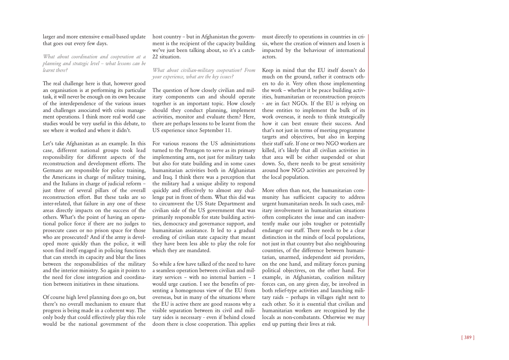#### larger and more extensive e-mail-based update that goes out every few days.

*What about coordination and cooperation at a planning and strategic level – what lessons can be learnt there?*

The real challenge here is that, however good an organisation is at performing its particular task, it will never be enough on its own because of the interdependence of the various issues and challenges associated with crisis management operations. I think more real world case studies would be very useful in this debate, to see where it worked and where it didn't.

Let's take Afghanistan as an example. In this case, different national groups took lead responsibility for different aspects of the reconstruction and development efforts. The Germans are responsible for police training, the Americans in charge of military training, and the Italians in charge of judicial reform – just three of several pillars of the overall reconstruction effort. But these tasks are so inter-related, that failure in any one of these areas directly impacts on the success of the others. What's the point of having an operational police force if there are no judges to prosecute cases or no prison space for those who are prosecuted? And if the army is developed more quickly than the police, it will soon find itself engaged in policing functions that can stretch its capacity and blur the lines between the responsibilities of the military and the interior ministry. So again it points to the need for close integration and coordination between initiatives in these situations.

Of course high level planning does go on, but there's no overall mechanism to ensure that progress is being made in a coherent way. The only body that could effectively play this role would be the national government of the

host country – but in Afghanistan the government is the recipient of the capacity building we've just been talking about, so it's a catch-22 situation

*What about civilian-military cooperation? From your experience, what are the key issues?* 

The question of how closely civilian and military components can and should operate together is an important topic. How closely should they conduct planning, implement activities, monitor and evaluate them? Here, there are perhaps lessons to be learnt from the US experience since September 11.

For various reasons the US administrations turned to the Pentagon to serve as its primary implementing arm, not just for military tasks but also for state building and in some cases humanitarian activities both in Afghanistan and Iraq. I think there was a perception that the military had a unique ability to respond quickly and effectively to almost any challenge put in front of them. What this did was to circumvent the US State Department and civilian side of the US government that was primarily responsible for state building activities, democracy and governance support, and humanitarian assistance. It led to a gradual eroding of civilian state capacity that meant they have been less able to play the role for which they are mandated.

So while a few have talked of the need to have a seamless operation between civilian and military services – with no internal barriers – I would urge caution. I see the benefits of presenting a homogenous view of the EU from overseas, but in many of the situations where the EU is active there are good reasons why a visible separation between its civil and military sides is necessary - even if behind closed doors there is close cooperation. This applies

must directly to operations in countries in crisis, where the creation of winners and losers is impacted by the behaviour of international actors.

Keep in mind that the EU itself doesn't do much on the ground, rather it contracts others to do it. Very often those implementing the work – whether it be peace building activities, humanitarian or reconstruction projects - are in fact NGOs. If the EU is relying on these entities to implement the bulk of its work overseas, it needs to think strategically how it can best ensure their success. And that's not just in terms of meeting programme targets and objectives, but also in keeping their staff safe. If one or two NGO workers are killed, it's likely that all civilian activities in that area will be either suspended or shut down. So, there needs to be great sensitivity around how NGO activities are perceived by the local population.

More often than not, the humanitarian community has sufficient capacity to address urgent humanitarian needs. In such cases, military involvement in humanitarian situations often complicates the issue and can inadvertently make our jobs tougher or potentially endanger our staff. There needs to be a clear distinction in the minds of local populations, not just in that country but also neighbouring countries, of the difference between humanitarian, unarmed, independent aid providers, on the one hand, and military forces pursing political objectives, on the other hand. For example, in Afghanistan, coalition military forces can, on any given day, be involved in both relief-type activities and launching military raids – perhaps in villages right next to each other. So it is essential that civilian and humanitarian workers are recognised by the locals as non-combatants. Otherwise we may end up putting their lives at risk.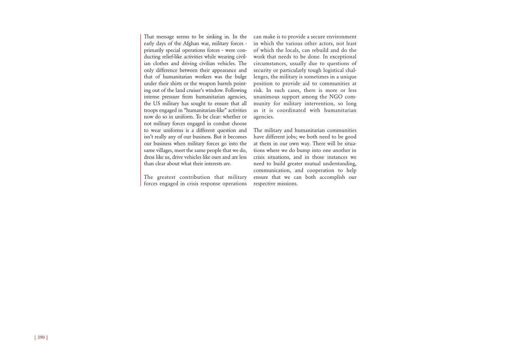That message seems to be sinking in. In the early days of the Afghan war, military forces primarily special operations forces - were conducting relief-like activities while wearing civilian clothes and driving civilian vehicles. The only difference between their appearance and that of humanitarian workers was the bulge under their shirts or the weapon barrels pointing out of the land cruiser's window. Following intense pressure from humanitarian agencies, the US military has sought to ensure that all troops engaged in "humanitarian-like" activities now do so in uniform. To be clear: whether or not military forces engaged in combat choose to wear uniforms is a different question and isn't really any of our business. But it becomes our business when military forces go into the same villages, meet the same people that we do, dress like us, drive vehicles like ours and are less than clear about what their interests are.

The greatest contribution that military forces engaged in crisis response operations

can make is to provide a secure environment in which the various other actors, not least of which the locals, can rebuild and do the work that needs to be done. In exceptional circumstances, usually due to questions of security or particularly tough logistical challenges, the military is sometimes in a unique position to provide aid to communities at risk. In such cases, there is more or less unanimous support among the NGO community for military intervention, so long as it is coordinated with humanitarian agencies.

The military and humanitarian communities have different jobs; we both need to be good at them in our own way. There will be situations where we do bump into one another in crisis situations, and in those instances we need to build greater mutual understanding, communication, and cooperation to help ensure that we can both accomplish our respective missions.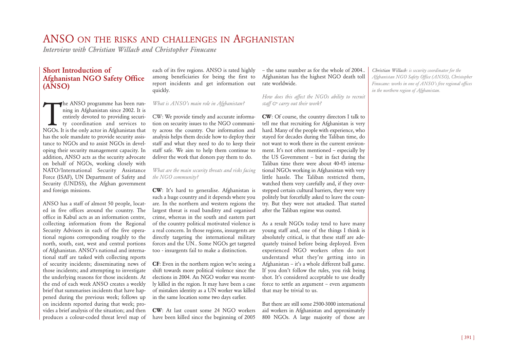## ANSO ON THE RISKS AND CHALLENGES IN AFGHANISTAN

*Interview with Christian Willach and Christopher Finucane*

## **Short Introduction of Afghanistan NGO Safety Office (ANSO)**

The ANSO programme has been running in Afghanistan since 2002. It is<br>entirely devoted to providing securi-<br>ty coordination and services to<br>NGOs. It is the only actor in Afghanistan that he ANSO programme has been running in Afghanistan since 2002. It is entirely devoted to providing security coordination and services to has the sole mandate to provide security assistance to NGOs and to assist NGOs in developing their security management capacity. In addition, ANSO acts as the security advocate on behalf of NGOs, working closely with NATO/International Security Assistance Force (ISAF), UN Department of Safety and Security (UNDSS), the Afghan government and foreign missions.

ANSO has a staff of almost 50 people, located in five offices around the country. The office in Kabul acts as an information centre, collecting information from the Regional Security Advisors in each of the five operational regions corresponding roughly to the north, south, east, west and central portions of Afghanistan. ANSO's national and international staff are tasked with collecting reports of security incidents; disseminating news of those incidents; and attempting to investigate the underlying reasons for those incidents. At the end of each week ANSO creates a weekly brief that summarises incidents that have happened during the previous week; follows up on incidents reported during that week; provides a brief analysis of the situation; and then produces a colour-coded threat level map of each of its five regions. ANSO is rated highly among beneficiaries for being the first to report incidents and get information out quickly.

*What is ANSO's main role in Afghanistan?*

CW: We provide timely and accurate information on security issues to the NGO community across the country. Our information and analysis helps them decide how to deploy their staff and what they need to do to keep their staff safe. We aim to help them continue to deliver the work that donors pay them to do.

*What are the main security threats and risks facing the NGO community?*

**CW**: It's hard to generalise. Afghanistan is such a huge country and it depends where you are. In the northern and western regions the largest threat is road banditry and organised crime, whereas in the south and eastern part of the country political motivated violence is a real concern. In those regions, insurgents are directly targeting the international military forces and the UN.. Some NGOs get targeted too - insurgents fail to make a distinction.

**CF**: Even in the northern region we're seeing a shift towards more political violence since the elections in 2004. An NGO worker was recently killed in the region. It may have been a case of mistaken identity as a UN worker was killed in the same location some two days earlier.

**CW**: At last count some 24 NGO workers have been killed since the beginning of 2005

– the same number as for the whole of 2004.. Afghanistan has the highest NGO death toll rate worldwide.

*How does this affect the NGOs ability to recruit staff & carry out their work?* 

**CW**: Of course, the country directors I talk to tell me that recruiting for Afghanistan is very hard. Many of the people with experience, who stayed for decades during the Taliban time, do not want to work there in the current environment. It's not often mentioned – especially by the US Government – but in fact during the Taliban time there were about 40-45 international NGOs working in Afghanistan with very little hassle. The Taliban restricted them, watched them very carefully and, if they overstepped certain cultural barriers, they were very politely but forcefully asked to leave the country. But they were not attacked. That started after the Taliban regime was ousted.

As a result NGOs today tend to have many young staff and, one of the things I think is absolutely critical, is that these staff are adequately trained before being deployed. Even experienced NGO workers often do not understand what they're getting into in Afghanistan – it's a whole different ball game. If you don't follow the rules, you risk being shot. It's considered acceptable to use deadly force to settle an argument – even arguments that may be trivial to us.

But there are still some 2500-3000 international aid workers in Afghanistan and approximately 800 NGOs. A large majority of those are

*Christian Willach: is security coordinator for the Afghanistan NGO Safety Office (ANSO), Christopher Finucane: works in one of ANSO's five regional offices in the northern region of Afghanistan.*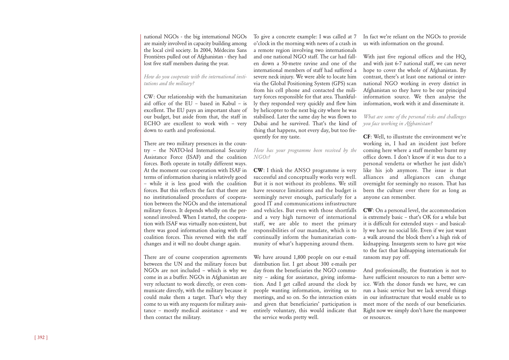national NGOs - the big international NGOs are mainly involved in capacity building among the local civil society. In 2004, Médecins Sans Frontières pulled out of Afghanistan - they had lost five staff members during the year.

*How do you cooperate with the international institutions and the military?*

CW: Our relationship with the humanitarian aid office of the EU – based in Kabul – is excellent. The EU pays an important share of our budget, but aside from that, the staff in ECHO are excellent to work with – very down to earth and professional.

There are two military presences in the country – the NATO-led International Security Assistance Force (ISAF) and the coalition forces. Both operate in totally different ways. At the moment our cooperation with ISAF in terms of information sharing is relatively good – while it is less good with the coalition forces. But this reflects the fact that there are no institutionalised procedures of cooperation between the NGOs and the international military forces. It depends wholly on the personnel involved. When I started, the cooperation with ISAF was virtually non-existent, but there was good information sharing with the coalition forces. This reversed with the staff changes and it will no doubt change again.

There are of course cooperation agreements between the UN and the military forces but NGOs are not included – which is why we come in as a buffer. NGOs in Afghanistan are very reluctant to work directly, or even communicate directly, with the military because it could make them a target. That's why they come to us with any requests for military assistance – mostly medical assistance - and we then contact the military.

To give a concrete example: I was called at 7 o'clock in the morning with news of a crash in a remote region involving two internationals and one national NGO staff. The car had fallen down a 50-metre ravine and one of the international members of staff had suffered a severe neck injury. We were able to locate him via the Global Positioning System (GPS) scan from his cell phone and contacted the military forces responsible for that area. Thankfully they responded very quickly and flew him by helicopter to the next big city where he was stabilised. Later the same day he was flown to Dubai and he survived. That's the kind of thing that happens, not every day, but too frequently for my taste.

*How has your programme been received by the NGOs?* 

**CW**: I think the ANSO programme is very successful and conceptually works very well. But it is not without its problems. We still have resource limitations and the budget is seemingly never enough, particularly for a good IT and communications infrastructure and vehicles. But even with those shortfalls and a very high turnover of international staff, we are able to meet the primary responsibilities of our mandate, which is to continually inform the humanitarian community of what's happening around them.

We have around 1,800 people on our e-mail distribution list. I get about 300 e-mails per day from the beneficiaries the NGO community – asking for assistance, giving information. And I get called around the clock by people wanting information, inviting us to meetings, and so on. So the interaction exists and given that beneficiaries' participation is entirely voluntary, this would indicate that the service works pretty well.

In fact we're reliant on the NGOs to provide us with information on the ground.

With just five regional offices and the HO, and with just 6-7 national staff, we can never hope to cover the whole of Afghanistan. By contrast, there's at least one national or international NGO working in every district in Afghanistan so they have to be our principal information source. We then analyse the information, work with it and disseminate it.

*What are some of the personal risks and challenges you face working in Afghanistan?*

**CF**: Well, to illustrate the environment we're working in, I had an incident just before coming here where a staff member burnt my office down. I don't know if it was due to a personal vendetta or whether he just didn't like his job anymore. The issue is that alliances and allegiances can change overnight for seemingly no reason. That has been the culture over there for as long as anyone can remember.

**CW**: On a personal level, the accommodation is extremely basic – that's OK for a while but it is difficult for extended stays – and basically we have no social life. Even if we just want a walk around the block there's a high risk of kidnapping. Insurgents seem to have got wise to the fact that kidnapping internationals for ransom may pay off.

And professionally, the frustration is not to have sufficient resources to run a better service. With the donor funds we have, we can run a basic service but we lack several things in our infrastructure that would enable us to meet more of the needs of our beneficiaries. Right now we simply don't have the manpower or resources.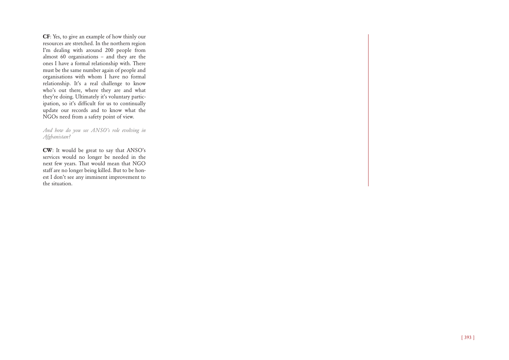**CF**: Yes, to give an example of how thinly our resources are stretched. In the northern region I'm dealing with around 200 people from almost 60 organisations – and they are the ones I have a formal relationship with. There must be the same number again of people and organisations with whom I have no formal relationship. It's a real challenge to know who's out there, where they are and what they're doing. Ultimately it's voluntary participation, so it's difficult for us to continually update our records and to know what the NGOs need from a safety point of view.

#### *And how do you see ANSO's role evolving in Afghanistan?*

**CW**: It would be great to say that ANSO's services would no longer be needed in the next few years. That would mean that NGO staff are no longer being killed. But to be honest I don't see any imminent improvement to the situation.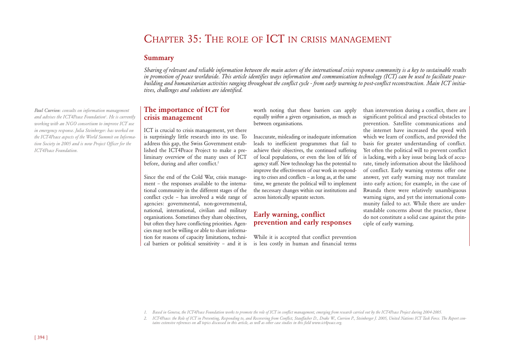## CHAPTER 35: THE ROLE OF ICT IN CRISIS MANAGEMENT

### **Summary**

*Sharing of relevant and reliable information between the main actors of the international crisis response community is a key to sustainable results in promotion of peace worldwide. This article identifies ways information and communication technology (ICT) can be used to facilitate peacebuilding and humanitarian activities ranging throughout the conflict cycle - from early warning to post-conflict reconstruction. Main ICT initiatives, challenges and solutions are identified.* 

## **The importance of ICT for crisis management**

ICT is crucial to crisis management, yet there is surprisingly little research into its use. To address this gap, the Swiss Government established the ICT4Peace Project to make a preliminary overview of the many uses of ICT before, during and after conflict.<sup>2</sup>

Since the end of the Cold War, crisis management – the responses available to the international community in the different stages of the conflict cycle – has involved a wide range of agencies: governmental, non-governmental, national, international, civilian and military organisations. Sometimes they share objectives, but often they have conflicting priorities. Agencies may not be willing or able to share information for reasons of capacity limitations, technical barriers or political sensitivity – and it is worth noting that these barriers can apply equally *within* a given organisation, as much as between organisations.

Inaccurate, misleading or inadequate information leads to inefficient programmes that fail to achieve their objectives, the continued suffering of local populations, or even the loss of life of agency staff. New technology has the potential to improve the effectiveness of our work in responding to crises and conflicts – as long as, at the same time, we generate the political will to implement the necessary changes within our institutions and across historically separate sectors.

## **Early warning, conflict prevention and early responses**

While it is accepted that conflict prevention is less costly in human and financial terms than intervention during a conflict, there are significant political and practical obstacles to prevention. Satellite communications and the internet have increased the speed with which we learn of conflicts, and provided the basis for greater understanding of conflict. Yet often the political will to prevent conflict is lacking, with a key issue being lack of accurate, timely information about the likelihood of conflict. Early warning systems offer one answer, yet early warning may not translate into early action; for example, in the case of Rwanda there were relatively unambiguous warning signs, and yet the international community failed to act. While there are understandable concerns about the practice, these do not constitute a solid case against the principle of early warning.

*1. Based in Geneva, the ICT4Peace Foundation works to promote the role of ICT in conflict management, emerging from research carried out by the ICT4Peace Project during 2004-2005.*

*2. ICT4Peace: the Role of ICT in Preventing, Responding to, and Recovering from Conflict, Stauffacher D., Drake W., Currion P., Steinberger J. 2005, United Nations ICT Task Force. The Report contains extensive references on all topics discussed in this article, as well as other case studies in this field www.ict4peace.org.*

*Paul Currion: consults on information management and advises the ICT4Peace Foundation*<sup>1</sup> *. He is currently working with an NGO consortium to improve ICT use in emergency response. Julia Steinberger: has worked on the ICT4Peace aspects of the World Summit on Information Society in 2005 and is now Project Officer for the ICT4Peace Foundation.*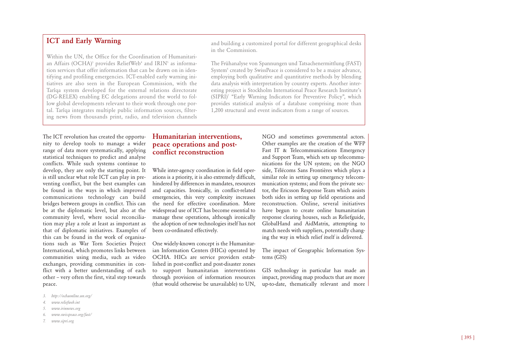## **ICT and Early Warning**

Within the UN, the Office for the Coordination of Humanitarian Affairs  $(OCHA)$ <sup>3</sup> provides ReliefWeb<sup>4</sup> and  $IRIN<sup>5</sup>$  as information services that offer information that can be drawn on in identifying and profiling emergencies. ICT-enabled early warning initiatives are also seen in the European Commission, with the Tarîqa system developed for the external relations directorate (DG-RELEX) enabling EC delegations around the world to follow global developments relevant to their work through one portal. Tarîqa integrates multiple public information sources, filtering news from thousands print, radio, and television channels and building a customized portal for different geographical desks in the Commission.

The Frühanalyse von Spannungen und Tatsachenermittlung (FAST) System<sup>6</sup> created by SwissPeace is considered to be a major advance, employing both qualitative and quantitative methods by blending data analysis with interpretation by country experts. Another interesting project is Stockholm International Peace Research Institute's (SIPRI)7 "Early Warning Indicators for Preventive Policy", which provides statistical analysis of a database comprising more than 1,200 structural and event indicators from a range of sources.

The ICT revolution has created the opportunity to develop tools to manage a wider range of data more systematically, applying statistical techniques to predict and analyse conflicts. While such systems continue to develop, they are only the starting point. It is still unclear what role ICT can play in preventing conflict, but the best examples can be found in the ways in which improved communications technology can build bridges between groups in conflict. This can be at the diplomatic level, but also at the community level, where social reconciliation may play a role at least as important as that of diplomatic initiatives. Examples of this can be found in the work of organisations such as War Torn Societies Project International, which promotes links between communities using media, such as video exchanges, providing communities in conflict with a better understanding of each other – very often the first, vital step towards peace.

- *3. http://ochaonline.un.org/*
- *4. www.reliefweb.int*
- *5. www.irinnews.org*
- *6. www.swisspeace.org/fast/*
- *7. www.sipri.org*

#### **Humanitarian interventions, peace operations and postconflict reconstruction**

While inter-agency coordination in field operations is a priority, it is also extremely difficult, hindered by differences in mandates, resources and capacities. Ironically, in conflict-related emergencies, this very complexity increases the need for effective coordination. More widespread use of ICT has become essential to manage these operations, although ironically the adoption of new technologies itself has not been co-ordinated effectively.

One widely-known concept is the Humanitarian Information Centers (HICs) operated by OCHA. HICs are service providers established in post-conflict and post-disaster zones to support humanitarian interventions through provision of information resources (that would otherwise be unavailable) to UN, NGO and sometimes governmental actors. Other examples are the creation of the WFP Fast IT & Telecommunications Emergency and Support Team, which sets up telecommunications for the UN system; on the NGO side, Télécoms Sans Frontières which plays a similar role in setting up emergency telecommunication systems; and from the private sector, the Ericsson Response Team which assists both sides in setting up field operations and reconstruction. Online, several initiatives have begun to create online humanitarian response clearing houses, such as Reliefguide, GlobalHand and AidMatrix, attempting to match needs with suppliers, potentially changing the way in which relief itself is delivered.

The impact of Geographic Information Systems (GIS)

GIS technology in particular has made an impact, providing map products that are more up-to-date, thematically relevant and more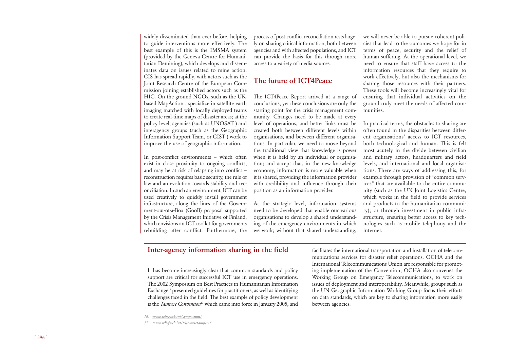widely disseminated than ever before, helping to guide interventions more effectively. The best example of this is the IMSMA system (provided by the Geneva Centre for Humanitarian Demining), which develops and disseminates data on issues related to mine action. GIS has spread rapidly, with actors such as the Joint Research Centre of the European Commission joining established actors such as the HIC. On the ground NGOs, such as the UKbased MapAction , specialize in satellite earth imaging matched with locally deployed teams to create real-time maps of disaster areas; at the policy level, agencies (such as UNOSAT ) and interagency groups (such as the Geographic Information Support Team, or GIST ) work to improve the use of geographic information.

In post-conflict environments – which often exist in close proximity to ongoing conflicts, and may be at risk of relapsing into conflict – reconstruction requires basic security, the rule of law and an evolution towards stability and reconciliation. In such an environment, ICT can be used creatively to quickly install government infrastructure, along the lines of the Government-out-of-a-Box (GooB) proposal supported by the Crisis Management Initiative of Finland, which envisions an ICT toolkit for governments rebuilding after conflict. Furthermore, the

process of post-conflict reconciliation rests largely on sharing critical information, both between agencies and with affected populations, and ICT can provide the basis for this through more access to a variety of media sources.

## **The future of ICT4Peace**

The ICT4Peace Report arrived at a range of conclusions, yet these conclusions are only the starting point for the crisis management community. Changes need to be made at every level of operations, and better links must be created both between different levels within organisations, and between different organisations. In particular, we need to move beyond the traditional view that knowledge is power when it is held by an individual or organisation; and accept that, in the new knowledge economy, information is more valuable when it is shared, providing the information provider with credibility and influence through their position as an information provider.

At the strategic level, information systems need to be developed that enable our various organisations to develop a shared understanding of the emergency environments in which we work; without that shared understanding, we will never be able to pursue coherent policies that lead to the outcomes we hope for in terms of peace, security and the relief of human suffering. At the operational level, we need to ensure that staff have access to the information resources that they require to work effectively, but also the mechanisms for sharing those resources with their partners. These tools will become increasingly vital for ensuring that individual activities on the ground truly meet the needs of affected communities.

In practical terms, the obstacles to sharing are often found in the disparities between different organisations' access to ICT resources, both technological and human. This is felt most acutely in the divide between civilian and military actors, headquarters and field levels, and international and local organisations. There are ways of addressing this, for example through provision of "common services" that are available to the entire community (such as the UN Joint Logistics Centre, which works in the field to provide services and products to the humanitarian community); or through investment in public infrastructure, ensuring better access to key technologies such as mobile telephony and the internet.

### **Inter-agency information sharing in the field**

It has become increasingly clear that common standards and policy support are critical for successful ICT use in emergency operations. The 2002 Symposium on Best Practices in Humanitarian Information Exchange<sup>16</sup> presented guidelines for practitioners, as well as identifying challenges faced in the field. The best example of policy development is the *Tampere Convention*<sup>17</sup> which came into force in January 2005, and

facilitates the international transportation and installation of telecommunications services for disaster relief operations. OCHA and the International Telecommunications Union are responsible for promoting implementation of the Convention; OCHA also convenes the Working Group on Emergency Telecommunications, to work on issues of deployment and interoperability. Meanwhile, groups such as the UN Geographic Information Working Group focus their efforts on data standards, which are key to sharing information more easily between agencies.

*<sup>16.</sup> www.reliefweb.int/symposium/*

*<sup>17.</sup> www.reliefweb.int/telecoms/tampere/*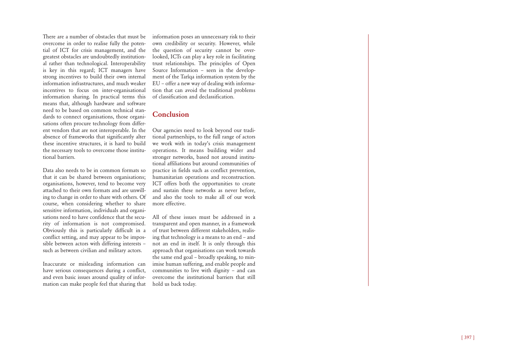There are a number of obstacles that must be overcome in order to realise fully the potential of ICT for crisis management, and the greatest obstacles are undoubtedly institutional rather than technological. Interoperability is key in this regard; ICT managers have strong incentives to build their own internal information infrastructures, and much weaker incentives to focus on inter-organisational information sharing. In practical terms this means that, although hardware and software need to be based on common technical standards to connect organisations, those organisations often procure technology from different vendors that are not interoperable. In the absence of frameworks that significantly alter these incentive structures, it is hard to build the necessary tools to overcome those institutional barriers.

Data also needs to be in common formats so that it can be shared between organisations; organisations, however, tend to become very attached to their own formats and are unwilling to change in order to share with others. Of course, when considering whether to share sensitive information, individuals and organisations need to have confidence that the security of information is not compromised. Obviously this is particularly difficult in a conflict setting, and may appear to be impossible between actors with differing interests – such as between civilian and military actors.

Inaccurate or misleading information can have serious consequences during a conflict, and even basic issues around quality of information can make people feel that sharing that information poses an unnecessary risk to their own credibility or security. However, while the question of security cannot be overlooked, ICTs can play a key role in facilitating trust relationships. The principles of Open Source Information – seen in the development of the Tarîqa information system by the EU – offer a new way of dealing with information that can avoid the traditional problems of classification and declassification.

## **Conclusion**

Our agencies need to look beyond our traditional partnerships, to the full range of actors we work with in today's crisis management operations. It means building wider and stronger networks, based not around institutional affiliations but around communities of practice in fields such as conflict prevention, humanitarian operations and reconstruction. ICT offers both the opportunities to create and sustain these networks as never before, and also the tools to make all of our work more effective.

All of these issues must be addressed in a transparent and open manner, in a framework of trust between different stakeholders, realising that technology is a means to an end – and not an end in itself. It is only through this approach that organisations can work towards the same end goal – broadly speaking, to minimise human suffering, and enable people and communities to live with dignity – and can overcome the institutional barriers that still hold us back today.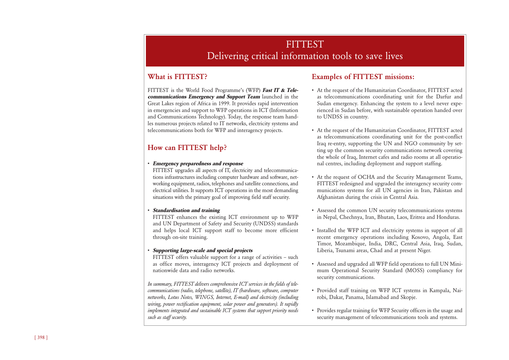## **FITTEST** Delivering critical information tools to save lives

## **What is FITTEST?**

FITTEST is the World Food Programme's (WFP) **Fast IT & Telecommunications Emergency and Support Team** launched in the Great Lakes region of Africa in 1999. It provides rapid intervention in emergencies and support to WFP operations in ICT (Information and Communications Technology). Today, the response team handles numerous projects related to IT networks, electricity systems and telecommunications both for WFP and interagency projects.

## **How can FITTEST help?**

#### • **Emergency preparedness and response**

FITTEST upgrades all aspects of IT, electricity and telecommunications infrastructures including computer hardware and software, networking equipment, radios, telephones and satellite connections, and electrical utilities. It supports ICT operations in the most demanding situations with the primary goal of improving field staff security.

#### • **Standardisation and training**

FITTEST enhances the existing ICT environment up to WFP and UN Department of Safety and Security (UNDSS) standards and helps local ICT support staff to become more efficient through on-site training.

#### • **Supporting large-scale and special projects**

FITTEST offers valuable support for a range of activities - such as office moves, interagency ICT projects and deployment of nationwide data and radio networks.

*In summary, FITTEST delivers comprehensive ICT services in the fields of telecommunications (radio, telephone, satellite), IT (hardware, software, computer networks, Lotus Notes, WINGS, Internet, E-mail) and electricity (including wiring, power rectification equipment, solar power and generators). It rapidly implements integrated and sustainable ICT systems that support priority needs such as staff security.*

## **Examples of FITTEST missions:**

- At the request of the Humanitarian Coordinator, FITTEST acted as telecommunications coordinating unit for the Darfur and Sudan emergency. Enhancing the system to a level never experienced in Sudan before, with sustainable operation handed over to UNDSS in country.
- At the request of the Humanitarian Coordinator, FITTEST acted as telecommunications coordinating unit for the post-conflict Iraq re-entry, supporting the UN and NGO community by setting up the common security communications network covering the whole of Iraq, Internet cafes and radio rooms at all operational centres, including deployment and support staffing.
- At the request of OCHA and the Security Management Teams, FITTEST redesigned and upgraded the interagency security communications systems for all UN agencies in Iran, Pakistan and Afghanistan during the crisis in Central Asia.
- Assessed the common UN security telecommunications systems in Nepal, Chechnya, Iran, Bhutan, Laos, Eritrea and Honduras.
- Installed the WFP ICT and electricity systems in support of all recent emergency operations including Kosovo, Angola, East Timor, Mozambique, India, DRC, Central Asia, Iraq, Sudan, Liberia, Tsunami areas, Chad and at present Niger.
- Assessed and upgraded all WFP field operations to full UN Minimum Operational Security Standard (MOSS) compliancy for security communications.
- Provided staff training on WFP ICT systems in Kampala, Nairobi, Dakar, Panama, Islamabad and Skopje.
- Provides regular training for WFP Security officers in the usage and security management of telecommunications tools and systems.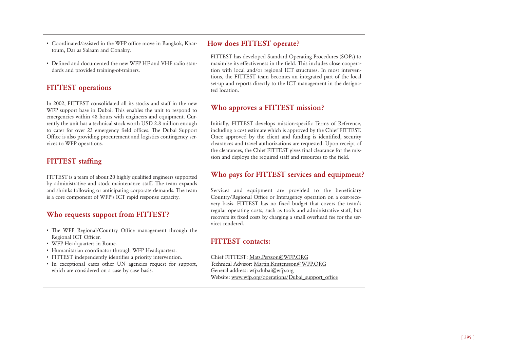• Coordinated/assisted in the WFP office move in Bangkok, Khartoum, Dar as Salaam and Conakry.

• Defined and documented the new WFP HF and VHF radio standards and provided training-of-trainers.

## **FITTEST operations**

In 2002, FITTEST consolidated all its stocks and staff in the new WFP support base in Dubai. This enables the unit to respond to emergencies within 48 hours with engineers and equipment. Currently the unit has a technical stock worth USD 2.8 million enough to cater for over 23 emergency field offices. The Dubai Support Office is also providing procurement and logistics contingency services to WFP operations.

## **FITTEST staffing**

FITTEST is a team of about 20 highly qualified engineers supported by administrative and stock maintenance staff. The team expands and shrinks following or anticipating corporate demands. The team is a core component of WFP's ICT rapid response capacity.

## **Who requests support from FITTEST?**

- The WFP Regional/Country Office management through the Regional ICT Officer.
- WFP Headquarters in Rome.
- Humanitarian coordinator through WFP Headquarters.
- FITTEST independently identifies a priority intervention.
- In exceptional cases other UN agencies request for support, which are considered on a case by case basis.

## **How does FITTEST operate?**

FITTEST has developed Standard Operating Procedures (SOPs) to maximise its effectiveness in the field. This includes close cooperation with local and/or regional ICT structures. In most interventions, the FITTEST team becomes an integrated part of the local set-up and reports directly to the ICT management in the designated location.

## **Who approves a FITTEST mission?**

Initially, FITTEST develops mission-specific Terms of Reference, including a cost estimate which is approved by the Chief FITTEST. Once approved by the client and funding is identified, security clearances and travel authorizations are requested. Upon receipt of the clearances, the Chief FITTEST gives final clearance for the mission and deploys the required staff and resources to the field.

## **Who pays for FITTEST services and equipment?**

Services and equipment are provided to the beneficiary Country/Regional Office or Interagency operation on a cost-recovery basis. FITTEST has no fixed budget that covers the team's regular operating costs, such as tools and administrative staff, but recovers its fixed costs by charging a small overhead fee for the services rendered.

## **FITTEST contacts:**

Chief FITTEST: Mats.Persson@WFP.ORG Technical Advisor: Martin.Kristensson@WFP.ORG General address: wfp.dubai@wfp.org Website: www.wfp.org/operations/Dubai\_support\_office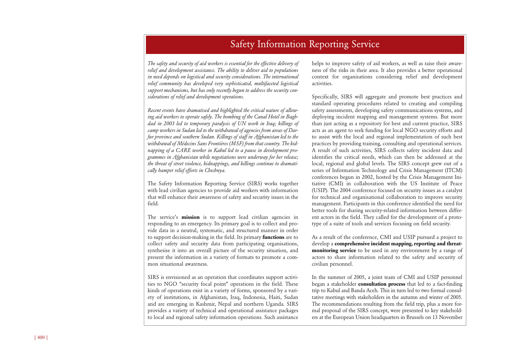## Safety Information Reporting Service

*The safety and security of aid workers is essential for the effective delivery of relief and development assistance. The ability to deliver aid to populations in need depends on logistical and security considerations. The international relief community has developed very sophisticated, multifaceted logistical support mechanisms, but has only recently begun to address the security considerations of relief and development operations.*

*Recent events have dramatised and highlighted the critical nature of allowing aid workers to operate safely. The bombing of the Canal Hotel in Baghdad in 2003 led to temporary paralysis of UN work in Iraq; killings of camp workers in Sudan led to the withdrawal of agencies from areas of Darfur province and southern Sudan. Killings of staff in Afghanistan led to the withdrawal of Médecins Sans Frontières (MSF) from that country. The kidnapping of a CARE worker in Kabul led to a pause in development programmes in Afghanistan while negotiations were underway for her release; the threat of street violence, kidnappings, and killings continue to dramatically hamper relief efforts in Chechnya.* 

The Safety Information Reporting Service (SIRS) works together with lead civilian agencies to provide aid workers with information that will enhance their awareness of safety and security issues in the field.

The service's **mission** is to support lead civilian agencies in responding to an emergency. Its primary goal is to collect and provide data in a neutral, systematic, and structured manner in order to support decision-making in the field. Its primary **functions** are to collect safety and security data from participating organisations, synthesise it into an overall picture of the security situation, and present the information in a variety of formats to promote a common situational awareness.

SIRS is envisioned as an operation that coordinates support activities to NGO "security focal point" operations in the field. These kinds of operations exist in a variety of forms, sponsored by a variety of institutions, in Afghanistan, Iraq, Indonesia, Haiti, Sudan and are emerging in Kashmir, Nepal and northern Uganda. SIRS provides a variety of technical and operational assistance packages to local and regional safety information operations. Such assistance

helps to improve safety of aid workers, as well as raise their awareness of the risks in their area. It also provides a better operational context for organisations considering relief and development activities.

Specifically, SIRS will aggregate and promote best practices and standard operating procedures related to creating and compiling safety assessments, developing safety communications systems, and deploying incident mapping and management systems. But more than just acting as a repository for best and current practice, SIRS acts as an agent to seek funding for local NGO security efforts and to assist with the local and regional implementation of such best practices by providing training, consulting and operational services. A result of such activities, SIRS collects safety incident data and identifies the critical needs, which can then be addressed at the local, regional and global levels. The SIRS concept grew out of a series of Information Technology and Crisis Management (ITCM) conferences begun in 2002, hosted by the Crisis Management Initiative (CMI) in collaboration with the US Institute of Peace (USIP). The 2004 conference focused on security issues as a catalyst for technical and organisational collaboration to improve security management. Participants in this conference identified the need for better tools for sharing security-related information between different actors in the field. They called for the development of a prototype of a suite of tools and services focusing on field security.

As a result of the conference, CMI and USIP pursued a project to develop a **comprehensive incident mapping, reporting and threatmonitoring service** to be used in any environment by a range of actors to share information related to the safety and security of civilian personnel.

In the summer of 2005, a joint team of CMI and USIP personnel began a stakeholder **consultation process** that led to a fact-finding trip to Kabul and Banda Aceh. This in turn led to two formal consultative meetings with stakeholders in the autumn and winter of 2005. The recommendations resulting from the field trip, plus a more formal proposal of the SIRS concept, were presented to key stakeholders at the European Union headquarters in Brussels on 13 November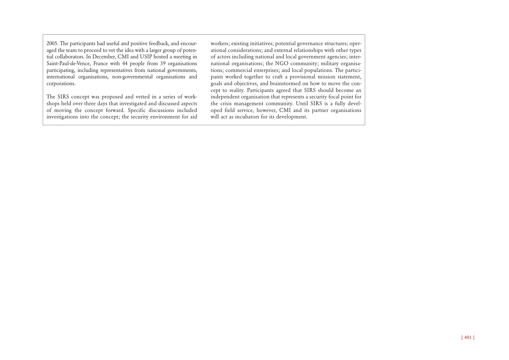2005. The participants had useful and positive feedback, and encouraged the team to proceed to vet the idea with a larger group of potential collaborators. In December, CMI and USIP hosted a meeting in Saint-Paul-de-Vence, France with 44 people from 39 organisations participating, including representatives from national governments, international organisations, non-governmental organisations and corporations.

The SIRS concept was proposed and vetted in a series of workshops held over three days that investigated and discussed aspects of moving the concept forward. Specific discussions included investigations into the concept; the security environment for aid

workers; existing initiatives; potential governance structures; operational considerations; and external relationships with other types of actors including national and local government agencies; international organisations; the NGO community; military organisations; commercial enterprises; and local populations. The participants worked together to craft a provisional mission statement, goals and objectives, and brainstormed on how to move the concept to reality. Participants agreed that SIRS should become an independent organisation that represents a security focal point for the crisis management community. Until SIRS is a fully developed field service, however, CMI and its partner organisations will act as incubators for its development.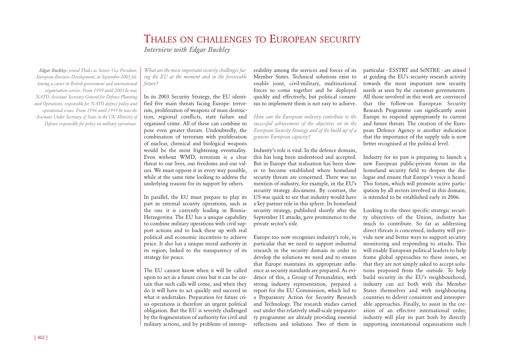## THALES ON CHALLENGES TO EUROPEAN SECURITY *Interview with Edgar Buckley*

*Edgar Buckley: joined Thales as Senior Vice President, European Business Development, in September 2003 following a career in British government and international organisation service. From 1999 until 2003 he was NATO Assistant Secretary General for Defence Planning and Operations, responsible for NATO defence policy and operational issues. From 1996 until 1999 he was the Assistant Under Secretary of State in the UK Ministry of Defence responsible for policy on military operations.*

*What are the most important security challenges facing the EU at the moment and in the foreseeable future?*

In its 2003 Security Strategy, the EU identified five main threats facing Europe: terrorism, proliferation of weapons of mass destruction, regional conflicts, state failure and organised crime. All of these can combine to pose even greater threats. Undoubtedly, the combination of terrorism with proliferation of nuclear, chemical and biological weapons would be the most frightening eventuality. Even without WMD, terrorism is a clear threat to our lives, our freedoms and our values. We must oppose it in every way possible, while at the same time looking to address the underlying reasons for its support by others.

In parallel, the EU must prepare to play its part in external security operations, such as the one it is currently leading in Bosnia-Herzegovina. The EU has a unique capability to combine military operations with civil support actions and to back these up with real political and economic incentives to achieve peace. It also has a unique moral authority in its region, linked to the transparency of its strategy for peace.

The EU cannot know when it will be called upon to act in a future crisis but it can be certain that such calls will come, and when they do it will have to act quickly and succeed in what it undertakes. Preparation for future crisis operations is therefore an urgent political obligation. But the EU is severely challenged by the fragmentation of authority for civil and military actions, and by problems of interop-

erability among the services and forces of its Member States. Technical solutions exist to enable joint, civil-military, multinational forces to come together and be deployed quickly and effectively, but political consensus to implement them is not easy to achieve.

*How can the European industry contribute to the successful achievement of the objectives set in the European Security Strategy and of the build-up of a genuine European capacity?*

Industry's role is vital. In the defence domain, this has long been understood and accepted. But in Europe that realisation has been slower to become established where homeland security threats are concerned. There was no mention of industry, for example, in the EU's security strategy document. By contrast, the US was quick to see that industry would have a key partner role in this sphere. Its homeland security strategy, published shortly after the September 11 attacks, gave prominence to the private sector's role.

Europe too now recognises industry's role, in particular that we need to support industrial research in the security domain in order to develop the solutions we need and to ensure that Europe maintains its appropriate influence as security standards are prepared. As evidence of this, a Group of Personalities, with strong industry representation, prepared a report for the EU Commission, which led to a Preparatory Action for Security Research and Technology. The research studies carried out under this relatively small-scale preparatory programme are already providing essential reflections and solutions. Two of them in

particular - ESSTRT and SeNTRE - are aimed at guiding the EU's security research activity towards the most important new security needs as seen by the customer governments. All those involved in this work are convinced that the follow-on European Security Research Programme can significantly assist Europe to respond appropriately to current and future threats. The creation of the European Defence Agency is another indication that the importance of the supply side is now better recognised at the political level.

Industry for its part is preparing to launch a new European public-private forum in the homeland security field to deepen the dialogue and ensure that Europe's voice is heard. This forum, which will promote active participation by all sectors involved in this domain, is intended to be established early in 2006.

Looking to the three specific strategic security objectives of the Union, industry has much to contribute. So far as addressing direct threats is concerned, industry will provide new and better ways to support security monitoring and responding to attacks. This will enable European political leaders to help frame global approaches to these issues, so that they are not simply asked to accept solutions proposed from the outside. To help build security in the EU's neighbourhood, industry can act both with the Member States themselves and with neighbouring countries to deliver consistent and interoperable approaches. Finally, to assist in the creation of an effective international order, industry will play its part both by directly supporting international organisations such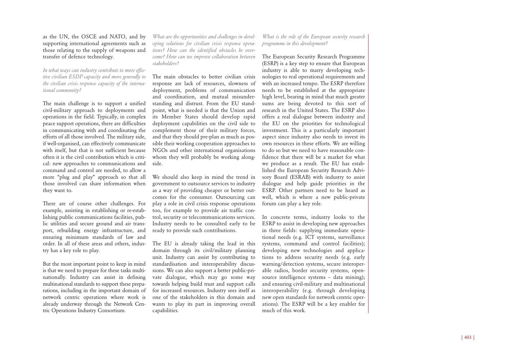#### as the UN, the OSCE and NATO, and by supporting international agreements such as those relating to the supply of weapons and transfer of defence technology.

*In what ways can industry contribute to more effective civilian ESDP capacity and more generally to the civilian crisis response capacity of the international community?*

The main challenge is to support a unified civil-military approach to deployments and operations in the field. Typically, in complex peace support operations, there are difficulties in communicating with and coordinating the efforts of all those involved. The military side, if well-organised, can effectively communicate with itself, but that is not sufficient because often it is the civil contribution which is critical: new approaches to communications and command and control are needed, to allow a more "plug and play" approach so that all those involved can share information when they want to.

There are of course other challenges. For example, assisting in establishing or re-establishing public communications facilities, public utilities and secure ground and air transport, rebuilding energy infrastructure, and ensuring minimum standards of law and order. In all of these areas and others, industry has a key role to play.

But the most important point to keep in mind is that we need to prepare for these tasks multinationally. Industry can assist in defining multinational standards to support these preparations, including in the important domain of network centric operations where work is already underway through the Network Centric Operations Industry Consortium.

*What are the opportunities and challenges in developing solutions for civilian crisis response operations? How can the identified obstacles be overcome? How can we improve collaboration between stakeholders?* 

The main obstacles to better civilian crisis response are lack of resources, slowness of deployment, problems of communication and coordination, and mutual misunderstanding and distrust. From the EU standpoint, what is needed is that the Union and its Member States should develop rapid deployment capabilities on the civil side to complement those of their military forces, and that they should pre-plan as much as possible their working cooperation approaches to NGOs and other international organisations whom they will probably be working alongside.

We should also keep in mind the trend in government to outsource services to industry as a way of providing cheaper or better outcomes for the consumer. Outsourcing can play a role in civil crisis response operations too, for example to provide air traffic control, security or telecommunications services. Industry needs to be consulted early to be ready to provide such contributions.

The EU is already taking the lead in this domain through its civil/military planning unit. Industry can assist by contributing to standardisation and interoperability discussions. We can also support a better public-private dialogue, which may go some way towards helping build trust and support calls for increased resources. Industry sees itself as one of the stakeholders in this domain and wants to play its part in improving overall capabilities.

*What is the role of the European security research programme in this development?*

The European Security Research Programme (ESRP) is a key step to ensure that European industry is able to marry developing technologies to real operational requirements and with an increased tempo. The ESRP therefore needs to be established at the appropriate high level, bearing in mind that much greater sums are being devoted to this sort of research in the United States. The ESRP also offers a real dialogue between industry and the EU on the priorities for technological investment. This is a particularly important aspect since industry also needs to invest its own resources in these efforts. We are willing to do so but we need to have reasonable confidence that there will be a market for what we produce as a result. The EU has established the European Security Research Advisory Board (ESRAB) with industry to assist dialogue and help guide priorities in the ESRP. Other partners need to be heard as well, which is where a new public-private forum can play a key role.

In concrete terms, industry looks to the ESRP to assist in developing new approaches in three fields: supplying immediate operational needs (e.g. ICT systems, surveillance systems, command and control facilities); developing new technologies and applications to address security needs (e.g. early warning/detection systems, secure interoperable radios, border security systems, opensource intelligence systems – data mining); and ensuring civil-military and multinational interoperability (e.g. through developing new open standards for network centric operations). The ESRP will be a key enabler for much of this work.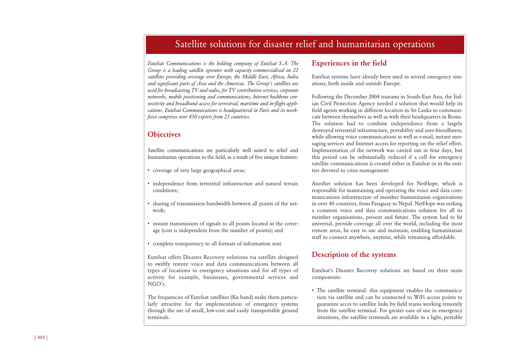## Satellite solutions for disaster relief and humanitarian operations

*Eutelsat Communications is the holding company of Eutelsat S.A. The Group is a leading satellite operator with capacity commercialised on 22 satellites providing coverage over Europe, the Middle East, Africa, India and significant parts of Asia and the Americas. The Group's satellites are used for broadcasting TV and radio, for TV contribution services, corporate networks, mobile positioning and communications, Internet backbone connectivity and broadband access for terrestrial, maritime and in-flight applications. Eutelsat Communications is headquartered in Paris and its workforce comprises over 450 experts from 25 countries.*

## **Objectives**

Satellite communications are particularly well suited to relief and humanitarian operations in the field, as a result of five unique features:

- coverage of very large geographical areas;
- independence from terrestrial infrastructure and natural terrain conditions;
- sharing of transmission bandwidth between all points of the network;
- instant transmission of signals to all points located in the coverage (cost is independent from the number of points); and
- complete transparency to all formats of information sent.

Eutelsat offers Disaster Recovery solutions via satellite designed to swiftly restore voice and data communications between all types of locations in emergency situations and for all types of activity for example, businesses, governmental services and  $NGO's$ .

The frequencies of Eutelsat satellites (Ku band) make them particularly attractive for the implementation of emergency systems through the use of small, low-cost and easily transportable ground terminals.

## **Experiences in the field**

Eutelsat systems have already been used in several emergency situations, both inside and outside Europe.

Following the December 2004 tsunami in South-East Asia, the Italian Civil Protection Agency needed a solution that would help its field agents working in different location in Sri Lanka to communicate between themselves as well as with their headquarters in Rome. The solution had to combine independence from a largely destroyed terrestrial infrastructure, portability and user-friendliness, while allowing voice communications as well as e-mail, instant messaging services and Internet access for reporting on the relief effort. Implementation of the network was carried out in four days, but this period can be substantially reduced if a cell for emergency satellite communications is created either in Eutelsat or in the entities devoted to crisis management.

Another solution has been developed for NetHope, which is responsible for maintaining and operating the voice and data communications infrastructure of member humanitarian organisations in over 40 countries, from Paraguay to Nepal. NetHope was seeking a common voice and data communications solution for all its member organisations, present and future. The system had to be universal, provide coverage all over the world, including the most remote areas, be easy to use and maintain, enabling humanitarian staff to connect anywhere, anytime, while remaining affordable.

## **Description of the systems**

Eutelsat's Disaster Recovery solutions are based on three main components:

• The satellite terminal: this equipment enables the communication via satellite and can be connected to WiFi access points to guarantee acces to satellite links by field teams working remotely from the satellite terminal. For greater ease of use in emergency situations, the satellite terminals are available in a light, portable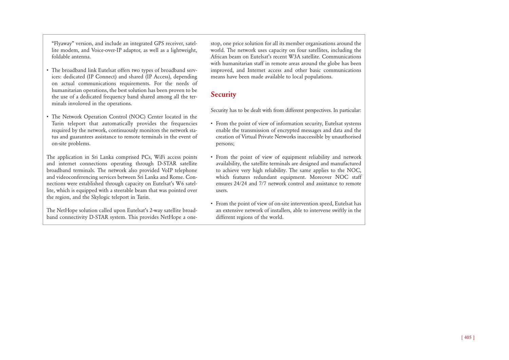"Flyaway" version, and include an integrated GPS receiver, satellite modem, and Voice-over-IP adaptor, as well as a lightweight, foldable antenna.

- The broadband link Eutelsat offers two types of broadband services: dedicated (IP Connect) and shared (IP Access), depending on actual communications requirements. For the needs of humanitarian operations, the best solution has been proven to be the use of a dedicated frequency band shared among all the terminals involoved in the operations.
- The Network Operation Control (NOC) Center located in the Turin teleport that automatically provides the frequencies required by the network, continuously monitors the network status and guarantees assistance to remote terminals in the event of on-site problems.

The application in Sri Lanka comprised PCs, WiFi access points and internet connections operating through D-STAR satellite broadband terminals. The network also provided VoIP telephone and videoconferencing services between Sri Lanka and Rome. Connections were established through capacity on Eutelsat's W6 satellite, which is equipped with a steerable beam that was pointed over the region, and the Skylogic teleport in Turin.

The NetHope solution called upon Eutelsat's 2-way satellite broadband connectivity D-STAR system. This provides NetHope a onestop, one price solution for all its member organisations around the world. The network uses capacity on four satellites, including the African beam on Eutelsat's recent W3A satellite. Communications with humanitarian staff in remote areas around the globe has been improved, and Internet access and other basic communications means have been made available to local populations.

## **Security**

Security has to be dealt with from different perspectives. In particular:

- From the point of view of information security, Eutelsat systems enable the transmission of encrypted messages and data and the creation of Virtual Private Networks inaccessible by unauthorised persons;
- From the point of view of equipment reliability and network availability, the satellite terminals are designed and manufactured to achieve very high reliability. The same applies to the NOC, which features redundant equipment. Moreover NOC staff ensures 24/24 and 7/7 network control and assistance to remote users.
- From the point of view of on-site intervention speed, Eutelsat has an extensive network of installers, able to intervene swiftly in the different regions of the world.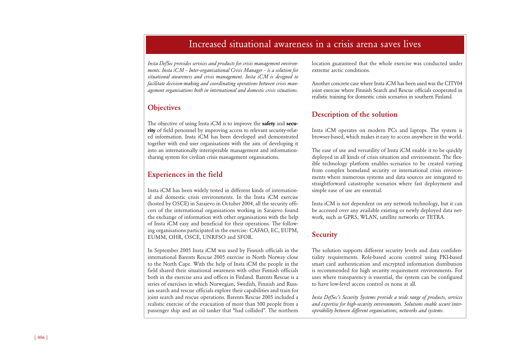## Increased situational awareness in a crisis arena saves lives

*Insta DefSec provides services and products for crisis management environments. Insta iCM – Inter-organisational Crisis Manager – is a solution for situational awareness and crisis management. Insta iCM is designed to facilitate decision-making and coordinating operations between crisis management organisations both in international and domestic crisis situations.* 

## **Objectives**

The objective of using Insta iCM is to improve the **safety** and **security** of field personnel by improving access to relevant security-related information. Insta iCM has been developed and demonstrated together with end user organisations with the aim of developing it into an internationally interoperable management and informationsharing system for civilian crisis management organisations.

## **Experiences in the field**

Insta iCM has been widely tested in different kinds of international and domestic crisis environments. In the Insta iCM exercise (hosted by OSCE) in Sarajevo in October 2004, all the security officers of the international organisations working in Sarajevo found the exchange of information with other organisations with the help of Insta iCM easy and beneficial for their operations. The following organisations participated in the exercise: CAFAO, EC, EUPM, EUMM, OHR, OSCE, UNRFSO and SFOR.

In September 2005 Insta iCM was used by Finnish officials in the international Barents Rescue 2005 exercise in North Norway close to the North Cape. With the help of Insta iCM the people in the field shared their situational awareness with other Finnish officials both in the exercise area and offices in Finland. Barents Rescue is a series of exercises in which Norwegian, Swedish, Finnish and Russian search and rescue officials explore their capabilities and train for joint search and rescue operations. Barents Rescue 2005 included a realistic exercise of the evacuation of more than 500 people from a passenger ship and an oil tanker that "had collided". The northern location guaranteed that the whole exercise was conducted under extreme arctic conditions.

Another concrete case where Insta iCM has been used was the CITY04 joint exercise where Finnish Search and Rescue officials cooperated in realistic training for domestic crisis scenarios in southern Finland.

## **Description of the solution**

Insta iCM operates on modern PCs and laptops. The system is browser-based, which makes it easy to access anywhere in the world.

The ease of use and versatility of Insta iCM enable it to be quickly deployed in all kinds of crisis situation and environment. The flexible technology platform enables scenarios to be created varying from complex homeland security or international crisis environments where numerous systems and data sources are integrated to straightforward catastrophe scenarios where fast deployment and simple ease of use are essential.

Insta iCM is not dependent on any network technology, but it can be accessed over any available existing or newly deployed data network, such as GPRS, WLAN, satellite networks or TETRA.

## **Security**

The solution supports different security levels and data confidentiality requirements. Role-based access control using PKI-based smart card authentication and encrypted information distribution is recommended for high security requirement environments. For uses where transparency is essential, the system can be configured to have low-level access control or none at all.

*Insta DefSec's Security Systems provide a wide range of products, services and expertise for high-security environments. Solutions enable secure interoperability between different organisations, networks and systems.*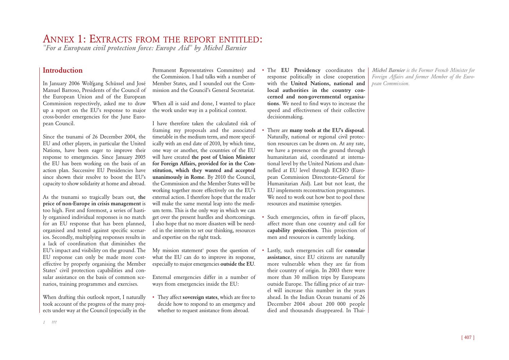# ANNEX 1: EXTRACTS FROM THE REPORT ENTITLED: *"For a European civil protection force: Europe Aid" by Michel Barnier*

## **Introduction**

In January 2006 Wolfgang Schüssel and José Manuel Barroso, Presidents of the Council of the European Union and of the European Commission respectively, asked me to draw up a report on the EU's response to major cross-border emergencies for the June European Council.

Since the tsunami of 26 December 2004, the EU and other players, in particular the United Nations, have been eager to improve their response to emergencies. Since January 2005 the EU has been working on the basis of an action plan. Successive EU Presidencies have since shown their resolve to boost the EU's capacity to show solidarity at home and abroad.

As the tsunami so tragically bears out, **the price of non-Europe in crisis management** is too high. First and foremost, a series of hastily organised individual responses is no match for an EU response that has been planned, organised and tested against specific scenarios. Secondly, multiplying responses results in a lack of coordination that diminishes the EU's impact and visibility on the ground. The EU response can only be made more costeffective by properly organising the Member States' civil protection capabilities and consular assistance on the basis of common scenarios, training programmes and exercises.

When drafting this outlook report, I naturally took account of the progress of the many projects under way at the Council (especially in the

Permanent Representatives Committee) and the Commission. I had talks with a number of Member States, and I sounded out the Commission and the Council's General Secretariat.

When all is said and done, I wanted to place the work under way in a political context.

I have therefore taken the calculated risk of framing my proposals and the associated timetable in the medium term, and more specifically with an end date of 2010, by which time, one way or another, the countries of the EU will have created **the post of Union Minister for Foreign Affairs, provided for in the Constitution, which they wanted and accepted unanimously in Rome**. By 2010 the Council, the Commission and the Member States will be working together more effectively on the EU's external action. I therefore hope that the reader will make the same mental leap into the medium term. This is the only way in which we can get over the present hurdles and shortcomings. I also hope that no more disasters will be needed in the interim to set our thinking, resources and expertise on the right track.

My mission statement<sup>1</sup> poses the question of what the EU can do to improve its response, especially to major emergencies **outside the EU**.

External emergencies differ in a number of ways from emergencies inside the EU:

• They affect **sovereign states**, which are free to decide how to respond to an emergency and whether to request assistance from abroad.

The **EU Presidency** coordinates the response politically in close cooperation with the **United Nations, national and local authorities in the country concerned and non-governmental organisations**. We need to find ways to increase the speed and effectiveness of their collective decisionmaking.

- There are **many tools at the EU's disposal**. Naturally, national or regional civil protection resources can be drawn on. At any rate, we have a presence on the ground through humanitarian aid, coordinated at international level by the United Nations and channelled at EU level through ECHO (European Commission Directorate-General for Humanitarian Aid). Last but not least, the EU implements reconstruction programmes. We need to work out how best to pool these resources and maximise synergies.
- Such emergencies, often in far-off places, affect more than one country and call for **capability projection**. This projection of men and resources is currently lacking.
- Lastly, such emergencies call for **consular assistance**, since EU citizens are naturally more vulnerable when they are far from their country of origin. In 2003 there were more than 30 million trips by Europeans outside Europe. The falling price of air travel will increase this number in the years ahead. In the Indian Ocean tsunami of 26 December 2004 about 200 000 people died and thousands disappeared. In Thai-

*Michel Barnier is the Former French Minister for Foreign Affairs and former Member of the European Commission.*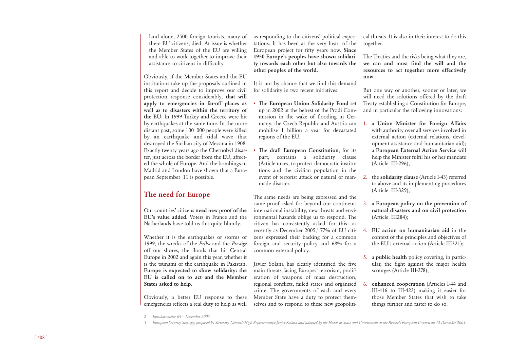land alone, 2500 foreign tourists, many of them EU citizens, died. At issue is whether the Member States of the EU are willing and able to work together to improve their assistance to citizens in difficulty.

Obviously, if the Member States and the EU institutions take up the proposals outlined in this report and decide to improve our civil protection response considerably, **that will apply to emergencies in far-off places as well as to disasters within the territory of the EU**. In 1999 Turkey and Greece were hit by earthquakes at the same time. In the more distant past, some 100 000 people were killed by an earthquake and tidal wave that destroyed the Sicilian city of Messina in 1908. Exactly twenty years ago the Chernobyl disaster, just across the border from the EU, affected the whole of Europe. And the bombings in Madrid and London have shown that a European September 11 is possible.

## **The need for Europe**

Our countries' citizens **need new proof of the EU's value added**. Voters in France and the Netherlands have told us this quite bluntly.

Whether it is the earthquakes or storms of 1999, the wrecks of the *Erika* and the *Prestige* off our shores, the floods that hit Central Europe in 2002 and again this year, whether it is the tsunami or the earthquake in Pakistan, **Europe is expected to show solidarity: the EU is called on to act and the Member States asked to help**.

Obviously, a better EU response to these emergencies reflects a real duty to help as well

as responding to the citizens' political expectations. It has been at the very heart of the European project for fifty years now. **Since 1950 Europe's peoples have shown solidarity towards each other but also towards the other peoples of the world.**

It is not by chance that we find this demand for solidarity in two recent initiatives:

- The **European Union Solidarity Fund** set up in 2002 at the behest of the Prodi Commission in the wake of flooding in Germany, the Czech Republic and Austria can mobilise 1 billion a year for devastated regions of the EU.
- The **draft European Constitution**, for its part, contains a solidarity clause (Article urces, to protect democratic institutions and the civilian population in the event of terrorist attack or natural or man- 2. made disaster.

The same needs are being expressed and the same proof asked for beyond our continent: international instability, new threats and environmental hazards oblige us to respond. The citizen has consistently asked for this: as recently as December 2005,<sup>2</sup> 77% of EU citizens expressed their backing for a common foreign and security policy and 68% for a common external policy.

Javier Solana has clearly identified the five main threats facing Europe:<sup>3</sup> terrorism, proliferation of weapons of mass destruction, regional conflicts, failed states and organised crime. The governments of each and every Member State have a duty to protect themselves and to respond to these new geopolitical threats. It is also in their interest to do this together.

The Treaties and the risks being what they are, **we can and must find the will and the resources to act together more effectively now**.

But one way or another, sooner or later, we will need the solutions offered by the draft Treaty establishing a Constitution for Europe, and in particular the following innovations:

- 1. a **Union Minister for Foreign Affairs** with authority over all services involved in external action (external relations, development assistance and humanitarian aid); a **European External Action Service** will help the Minister fulfil his or her mandate (Article III-296);
- 2. the **solidarity clause** (Article I-43) referred to above and its implementing procedures (Article III-329);
- 3. a **European policy on the prevention of natural disasters and on civil protection** (Article III284);
- 4. **EU action on humanitarian aid** in the context of the principles and objectives of the EU's external action (Article III321);
- 5. a **public health** policy covering, in particular, the fight against the major health scourges (Article III-278);
- 6. **enhanced cooperation** (Articles I-44 and III-416 to III-423) making it easier for those Member States that wish to take things further and faster to do so.

*<sup>2</sup> Eurobarometer 64 – December 2005.*

*<sup>3</sup> European Security Strategy, proposed by Secretary-General/High Representative Javier Solana and adopted by the Heads of State and Government at the Brussels European Council on 12 December 2003.*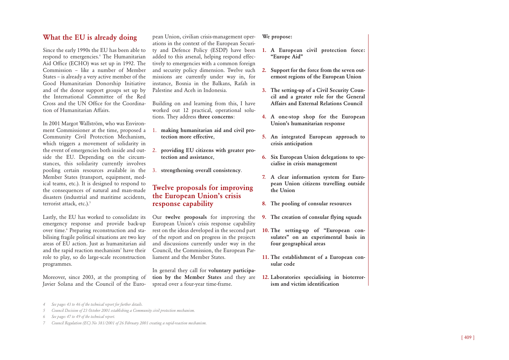### **What the EU is already doing**

Since the early 1990s the EU has been able to respond to emergencies.4 The Humanitarian Aid Office (ECHO) was set up in 1992. The Commission – like a number of Member States – is already a very active member of the Good Humanitarian Donorship Initiative and of the donor support groups set up by the International Committee of the Red Cross and the UN Office for the Coordination of Humanitarian Affairs.

In 2001 Margot Wallström, who was Environment Commissioner at the time, proposed a Community Civil Protection Mechanism, which triggers a movement of solidarity in side the EU. Depending on the circumstances, this solidarity currently involves pooling certain resources available in the Member States (transport, equipment, medical teams, etc.). It is designed to respond to the consequences of natural and man-made disasters (industrial and maritime accidents, terrorist attack, etc.).<sup>5</sup>

Lastly, the EU has worked to consolidate its emergency response and provide back-up over time.<sup>6</sup> Preparing reconstruction and stabilising fragile political situations are two key areas of EU action. Just as humanitarian aid and the rapid reaction mechanism<sup>7</sup> have their role to play, so do large-scale reconstruction programmes.

Moreover, since 2003, at the prompting of Javier Solana and the Council of the Euro-

pean Union, civilian crisis-management operations in the context of the European Security and Defence Policy (ESDP) have been added to this arsenal, helping respond effectively to emergencies with a common foreign and security policy dimension. Twelve such missions are currently under way in, for instance, Bosnia in the Balkans, Rafah in Palestine and Aceh in Indonesia.

Building on and learning from this, I have worked out 12 practical, operational solutions. They address **three concerns**:

- 1. **making humanitarian aid and civil protection more effective**,
- the event of emergencies both inside and out-2. **providing EU citizens with greater protection and assistance**,
	- 3. **strengthening overall consistency**.

### **Twelve proposals for improving the European Union's crisis response capability**

Our **twelve proposals** for improving the European Union's crisis response capability rest on the ideas developed in the second part of the report and on progress in the projects and discussions currently under way in the Council, the Commission, the European Parliament and the Member States.

In general they call for **voluntary participation by the Member States** and they are spread over a four-year time-frame.

#### **We propose:**

- **1. A European civil protection force: "Europe Aid"**
- **2. Support for the force from the seven outermost regions of the European Union**
- **3. The setting-up of a Civil Security Council and a greater role for the General Affairs and External Relations Council**
- **4. A one-stop shop for the European Union's humanitarian response**
- **5. An integrated European approach to crisis anticipation**
- **6. Six European Union delegations to specialise in crisis management**
- **7. A clear information system for European Union citizens travelling outside the Union**
- **8. The pooling of consular resources**
- **9. The creation of consular flying squads**
- **10. The setting-up of "European consulates" on an experimental basis in four geographical areas**
- **11. The establishment of a European consular code**
- **12. Laboratories specialising in bioterrorism and victim identification**

*4 See pages 43 to 46 of the technical report for further details.*

- *5 Council Decision of 23 October 2001 establishing a Community civil protection mechanism.*
- *6 See pages 47 to 49 of the technical report.*
- *7 Council Regulation (EC) No 381/2001 of 26 February 2001 creating a rapid-reaction mechanism.*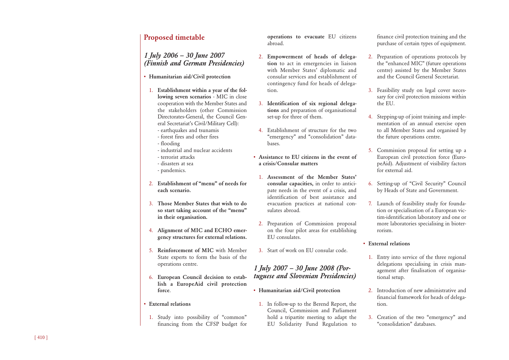## **Proposed timetable**

*1 July 2006 – 30 June 2007 (Finnish and German Presidencies)*

- **• Humanitarian aid/Civil protection**
- 1. **Establishment within a year of the following seven scenarios** - MIC in close cooperation with the Member States and the stakeholders (other Commission Directorates-General, the Council General Secretariat's Civil/Military Cell): - earthquakes and tsunamis
	- forest fires and other fires
	- flooding
	- industrial and nuclear accidents
	- terrorist attacks
	- disasters at sea
	- pandemics.
- 2. **Establishment of "menu" of needs for each scenario.**
- 3. **Those Member States that wish to do so start taking account of the "menu" in their organisation.**
- 4. **Alignment of MIC and ECHO emergency structures for external relations.**
- 5. **Reinforcement of MIC** with Member State experts to form the basis of the operations centre.
- 6. **European Council decision to establish a EuropeAid civil protection force** .
- **• External relations**
- 1. Study into possibility of "common" financing from the CFSP budget for

**operations to evacuate** EU citizens abroad.

- 2. **Empowerment of heads of delegation** to act in emergencies in liaison with Member States' diplomatic and consular services and establishment of contingency fund for heads of delegation.
- 3. **Identification of six regional delegations** and preparation of organisational set-up for three of them.
- 4. Establishment of structure for the two "emergency" and "consolidation" databases.
- **• Assistance to EU citizens in the event of a crisis/Consular matters**
- 1. **Assessment of the Member States' consular capacities,** in order to anticipate needs in the event of a crisis, and identification of best assistance and evacuation practices at national consulates abroad.
- 2. Preparation of Commission proposal on the four pilot areas for establishing EU consulates.
- 3. Start of work on EU consular code.

## *1 July 2007 – 30 June 2008 (Portuguese and Slovenian Presidencies)*

- **• Humanitarian aid/Civil protection**
	- 1. In follow-up to the Berend Report, the Council, Commission and Parliament hold a tripartite meeting to adapt the EU Solidarity Fund Regulation to

finance civil protection training and the purchase of certain types of equipment.

- 2. Preparation of operations protocols by the "enhanced MIC" (future operations centre) assisted by the Member States and the Council General Secretariat.
- 3. Feasibility study on legal cover necessary for civil protection missions within the EU.
- 4. Stepping-up of joint training and implementation of an annual exercise open to all Member States and organised by the future operations centre.
- 5. Commission proposal for setting up a European civil protection force (EuropeAid). Adjustment of visibility factors for external aid.
- 6. Setting-up of "Civil Security" Council by Heads of State and Government.
- 7. Launch of feasibility study for foundation or specialisation of a European victim-identification laboratory and one or more laboratories specialising in bioterrorism.

#### **• External relations**

- 1. Entry into service of the three regional delegations specialising in crisis management after finalisation of organisational setup.
- 2. Introduction of new administrative and financial framework for heads of delegation.
- 3. Creation of the two "emergency" and "consolidation" databases.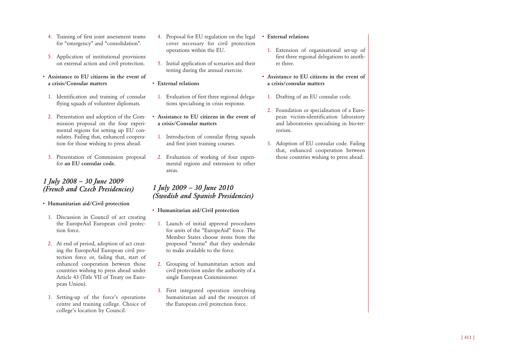- 4. Training of first joint assessment teams for "emergency" and "consolidation".
- 5. Application of institutional provisions on external action and civil protection.
- **• Assistance to EU citizens in the event of a crisis/Consular matters**
- 1. Identification and training of consular flying squads of volunteer diplomats.
- 2. Presentation and adoption of the Commission proposal on the four experimental regions for setting up EU consulates. Failing that, enhanced cooperation for those wishing to press ahead.
- 3. Presentation of Commission proposal for **an EU consular code.**

## *1 July 2008 – 30 June 2009 (French and Czech Presidencies)*

- **• Humanitarian aid/Civil protection**
- 1. Discussion in Council of act creating the EuropeAid European civil protection force.
- 2. At end of period, adoption of act creating the EuropeAid European civil protection force or, failing that, start of enhanced cooperation between those countries wishing to press ahead under Article 43 (Title VII of Treaty on European Union).
- 3. Setting-up of the force's operations centre and training college. Choice of college's location by Council.
- 4. Proposal for EU regulation on the legal cover necessary for civil protection operations within the EU.
- 5. Initial application of scenarios and their testing during the annual exercise.
- **• External relations**
	- 1. Evaluation of first three regional delegations specialising in crisis response.
- **• Assistance to EU citizens in the event of a crisis/Consular matters**
	- 1. Introduction of consular flying squads and first joint training courses.
	- 2. Evaluation of working of four experimental regions and extension to other areas.

## *1 July 2009 – 30 June 2010 (Swedish and Spanish Presidencies)*

- **• Humanitarian aid/Civil protection**
- 1. Launch of initial approval procedures for units of the "EuropeAid" force. The Member States choose items from the proposed "menu" that they undertake to make available to the force.
- 2. Grouping of humanitarian action and civil protection under the authority of a single European Commissioner.
- 3. First integrated operation involving humanitarian aid and the resources of the European civil protection force.

#### **• External relations**

- 1. Extension of organisational set-up of first three regional delegations to another three.
- **• Assistance to EU citizens in the event of a crisis/consular matters**
- 1. Drafting of an EU consular code.
- 2. Foundation or specialisation of a European victim-identification laboratory and laboratories specialising in bio-terrorism.
- 3. Adoption of EU consular code. Failing that, enhanced cooperation between those countries wishing to press ahead.